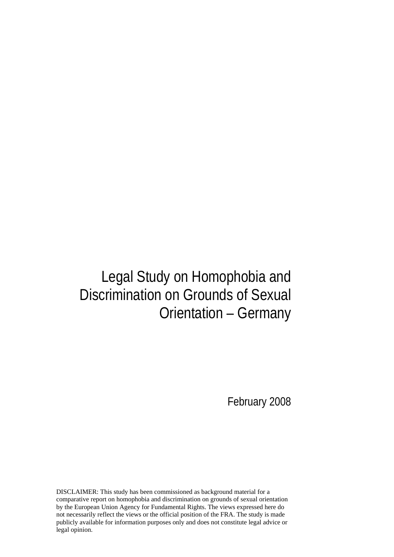# Legal Study on Homophobia and Discrimination on Grounds of Sexual Orientation – Germany

February 2008

DISCLAIMER: This study has been commissioned as background material for a comparative report on homophobia and discrimination on grounds of sexual orientation by the European Union Agency for Fundamental Rights. The views expressed here do not necessarily reflect the views or the official position of the FRA. The study is made publicly available for information purposes only and does not constitute legal advice or legal opinion.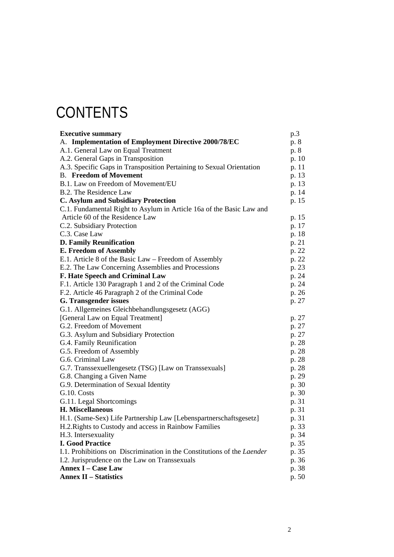# **CONTENTS**

| <b>Executive summary</b>                                                | p.3   |
|-------------------------------------------------------------------------|-------|
| A. Implementation of Employment Directive 2000/78/EC                    | p. 8  |
| A.1. General Law on Equal Treatment                                     | p. 8  |
| A.2. General Gaps in Transposition                                      | p. 10 |
| A.3. Specific Gaps in Transposition Pertaining to Sexual Orientation    | p. 11 |
| <b>B.</b> Freedom of Movement                                           | p. 13 |
| B.1. Law on Freedom of Movement/EU                                      | p. 13 |
| B.2. The Residence Law                                                  | p. 14 |
| <b>C. Asylum and Subsidiary Protection</b>                              | p. 15 |
| C.1. Fundamental Right to Asylum in Article 16a of the Basic Law and    |       |
| Article 60 of the Residence Law                                         | p. 15 |
| C.2. Subsidiary Protection                                              | p. 17 |
| C.3. Case Law                                                           | p. 18 |
| <b>D. Family Reunification</b>                                          | p. 21 |
| <b>E. Freedom of Assembly</b>                                           | p. 22 |
| E.1. Article 8 of the Basic Law – Freedom of Assembly                   | p. 22 |
| E.2. The Law Concerning Assemblies and Processions                      | p. 23 |
| F. Hate Speech and Criminal Law                                         | p. 24 |
| F.1. Article 130 Paragraph 1 and 2 of the Criminal Code                 | p. 24 |
| F.2. Article 46 Paragraph 2 of the Criminal Code                        | p. 26 |
| G. Transgender issues                                                   | p. 27 |
| G.1. Allgemeines Gleichbehandlungsgesetz (AGG)                          |       |
| [General Law on Equal Treatment]                                        | p. 27 |
| G.2. Freedom of Movement                                                | p. 27 |
| G.3. Asylum and Subsidiary Protection                                   | p. 27 |
| G.4. Family Reunification                                               | p. 28 |
| G.5. Freedom of Assembly                                                | p. 28 |
| G.6. Criminal Law                                                       | p. 28 |
| G.7. Transsexuellengesetz (TSG) [Law on Transsexuals]                   | p. 28 |
| G.8. Changing a Given Name                                              | p. 29 |
| G.9. Determination of Sexual Identity                                   | p. 30 |
| G.10. Costs                                                             | p. 30 |
| G.11. Legal Shortcomings                                                | p. 31 |
| H. Miscellaneous                                                        | p. 31 |
| H.1. (Same-Sex) Life Partnership Law [Lebenspartnerschaftsgesetz]       | p. 31 |
| H.2. Rights to Custody and access in Rainbow Families                   | p. 33 |
| H.3. Intersexuality                                                     | p. 34 |
| <b>I. Good Practice</b>                                                 | p. 35 |
| I.1. Prohibitions on Discrimination in the Constitutions of the Laender | p. 35 |
| I.2. Jurisprudence on the Law on Transsexuals                           | p. 36 |
| <b>Annex I - Case Law</b>                                               | p. 38 |
| <b>Annex II – Statistics</b>                                            | p. 50 |
|                                                                         |       |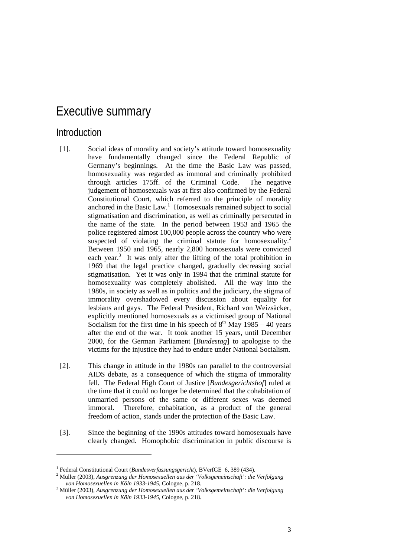## Executive summary

#### Introduction

-

- [1]. Social ideas of morality and society's attitude toward homosexuality have fundamentally changed since the Federal Republic of Germany's beginnings. At the time the Basic Law was passed, homosexuality was regarded as immoral and criminally prohibited through articles 175ff. of the Criminal Code. The negative judgement of homosexuals was at first also confirmed by the Federal Constitutional Court, which referred to the principle of morality anchored in the Basic Law.<sup>1</sup> Homosexuals remained subject to social stigmatisation and discrimination, as well as criminally persecuted in the name of the state. In the period between 1953 and 1965 the police registered almost 100,000 people across the country who were suspected of violating the criminal statute for homosexuality.<sup>2</sup> Between 1950 and 1965, nearly 2,800 homosexuals were convicted each year.<sup>3</sup> It was only after the lifting of the total prohibition in 1969 that the legal practice changed, gradually decreasing social stigmatisation. Yet it was only in 1994 that the criminal statute for homosexuality was completely abolished. All the way into the 1980s, in society as well as in politics and the judiciary, the stigma of immorality overshadowed every discussion about equality for lesbians and gays. The Federal President, Richard von Weizsäcker, explicitly mentioned homosexuals as a victimised group of National Socialism for the first time in his speech of  $8<sup>th</sup>$  May  $1985 - 40$  years after the end of the war. It took another 15 years, until December 2000, for the German Parliament [*Bundestag*] to apologise to the victims for the injustice they had to endure under National Socialism.
- [2]. This change in attitude in the 1980s ran parallel to the controversial AIDS debate, as a consequence of which the stigma of immorality fell. The Federal High Court of Justice [*Bundesgerichtshof*] ruled at the time that it could no longer be determined that the cohabitation of unmarried persons of the same or different sexes was deemed immoral. Therefore, cohabitation, as a product of the general freedom of action, stands under the protection of the Basic Law.
- [3]. Since the beginning of the 1990s attitudes toward homosexuals have clearly changed. Homophobic discrimination in public discourse is

<sup>&</sup>lt;sup>1</sup> Federal Constitutional Court (*Bundesverfassungsgericht*), BVerfGE 6, 389 (434).<br><sup>2</sup> Müller (2003), Auggrappung der Homogeruellen aus der Welkgameinschaft': die

Müller (2003), *Ausgrenzung der Homosexuellen aus der 'Volksgemeinschaft': die Verfolgung*  von Homosexuellen in Köln 1933-1945, Cologne, p. 218.

Müller (2003), *Ausgrenzung der Homosexuellen aus der 'Volksgemeinschaft': die Verfolgung von Homosexuellen in Köln 1933-1945*, Cologne, p. 218.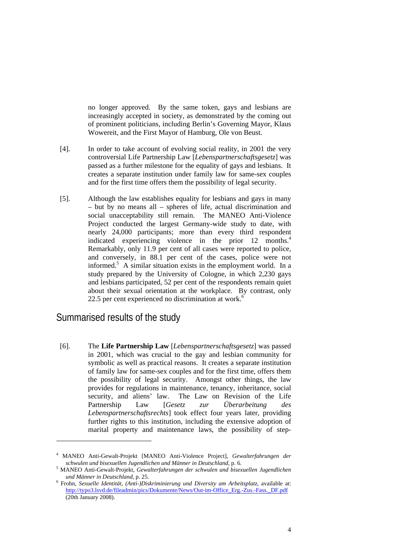no longer approved. By the same token, gays and lesbians are increasingly accepted in society, as demonstrated by the coming out of prominent politicians, including Berlin's Governing Mayor, Klaus Wowereit, and the First Mayor of Hamburg, Ole von Beust.

- [4]. In order to take account of evolving social reality, in 2001 the very controversial Life Partnership Law [*Lebenspartnerschaftsgesetz*] was passed as a further milestone for the equality of gays and lesbians. It creates a separate institution under family law for same-sex couples and for the first time offers them the possibility of legal security.
- [5]. Although the law establishes equality for lesbians and gays in many – but by no means all – spheres of life, actual discrimination and social unacceptability still remain. The MANEO Anti-Violence Project conducted the largest Germany-wide study to date, with nearly 24,000 participants; more than every third respondent indicated experiencing violence in the prior 12 months.<sup>4</sup> Remarkably, only 11.9 per cent of all cases were reported to police, and conversely, in 88.1 per cent of the cases, police were not informed.<sup>5</sup> A similar situation exists in the employment world. In a study prepared by the University of Cologne, in which 2,230 gays and lesbians participated, 52 per cent of the respondents remain quiet about their sexual orientation at the workplace. By contrast, only 22.5 per cent experienced no discrimination at work. $6$

### Summarised results of the study

1

[6]. The **Life Partnership Law** [*Lebenspartnerschaftsgesetz*] was passed in 2001, which was crucial to the gay and lesbian community for symbolic as well as practical reasons. It creates a separate institution of family law for same-sex couples and for the first time, offers them the possibility of legal security. Amongst other things, the law provides for regulations in maintenance, tenancy, inheritance, social security, and aliens' law. The Law on Revision of the Life Partnership Law [*Gesetz zur Überarbeitung des Lebenspartnerschaftsrechts*] took effect four years later, providing further rights to this institution, including the extensive adoption of marital property and maintenance laws, the possibility of step-

<sup>4</sup> MANEO Anti-Gewalt-Projekt [MANEO Anti-Violence Project], *Gewalterfahrungen der schwulen und bisexuellen Jugendlichen und Männer in Deutschland*, p. 6. 5

MANEO Anti-Gewalt-Projekt, *Gewalterfahrungen der schwulen und bisexuellen Jugendlichen und Männer in Deutschland*, p. 25. 6

Frohn, *Sexuelle Identität, (Anti-)Diskriminierung und Diversity am Arbeitsplatz*, available at: http://typo3.lsvd.de/fileadmin/pics/Dokumente/News/Out-im-Office\_Erg.-Zus.-Fass.\_DF.pdf (20th January 2008).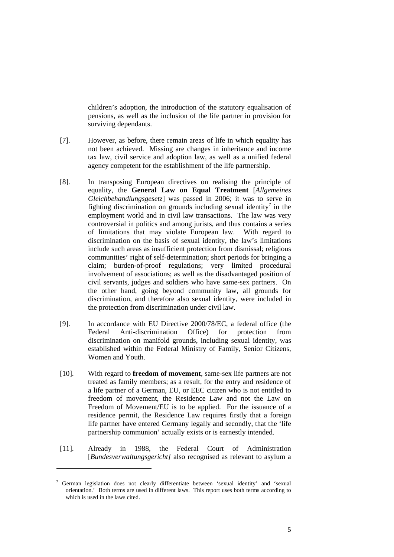children's adoption, the introduction of the statutory equalisation of pensions, as well as the inclusion of the life partner in provision for surviving dependants.

- [7]. However, as before, there remain areas of life in which equality has not been achieved. Missing are changes in inheritance and income tax law, civil service and adoption law, as well as a unified federal agency competent for the establishment of the life partnership.
- [8]. In transposing European directives on realising the principle of equality, the **General Law on Equal Treatment** [*Allgemeines Gleichbehandlungsgesetz*] was passed in 2006; it was to serve in fighting discrimination on grounds including sexual identity<sup>7</sup> in the employment world and in civil law transactions. The law was very controversial in politics and among jurists, and thus contains a series of limitations that may violate European law. With regard to discrimination on the basis of sexual identity, the law's limitations include such areas as insufficient protection from dismissal; religious communities' right of self-determination; short periods for bringing a claim; burden-of-proof regulations; very limited procedural involvement of associations; as well as the disadvantaged position of civil servants, judges and soldiers who have same-sex partners. On the other hand, going beyond community law, all grounds for discrimination, and therefore also sexual identity, were included in the protection from discrimination under civil law.
- [9]. In accordance with EU Directive 2000/78/EC, a federal office (the Federal Anti-discrimination Office) for protection from discrimination on manifold grounds, including sexual identity, was established within the Federal Ministry of Family, Senior Citizens, Women and Youth.
- [10]. With regard to **freedom of movement**, same-sex life partners are not treated as family members; as a result, for the entry and residence of a life partner of a German, EU, or EEC citizen who is not entitled to freedom of movement, the Residence Law and not the Law on Freedom of Movement/EU is to be applied. For the issuance of a residence permit, the Residence Law requires firstly that a foreign life partner have entered Germany legally and secondly, that the 'life partnership communion' actually exists or is earnestly intended.
- [11]. Already in 1988, the Federal Court of Administration [*Bundesverwaltungsgericht]* also recognised as relevant to asylum a

<sup>&</sup>lt;sup>7</sup> German legislation does not clearly differentiate between 'sexual identity' and 'sexual orientation.' Both terms are used in different laws. This report uses both terms according to which is used in the laws cited.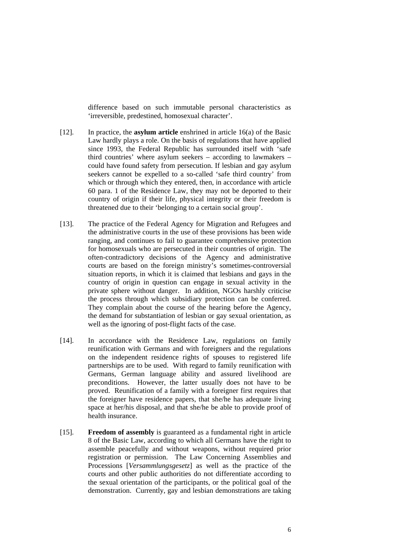difference based on such immutable personal characteristics as 'irreversible, predestined, homosexual character'.

- [12]. In practice, the **asylum article** enshrined in article 16(a) of the Basic Law hardly plays a role. On the basis of regulations that have applied since 1993, the Federal Republic has surrounded itself with 'safe third countries' where asylum seekers – according to lawmakers – could have found safety from persecution. If lesbian and gay asylum seekers cannot be expelled to a so-called 'safe third country' from which or through which they entered, then, in accordance with article 60 para. 1 of the Residence Law, they may not be deported to their country of origin if their life, physical integrity or their freedom is threatened due to their 'belonging to a certain social group'.
- [13]. The practice of the Federal Agency for Migration and Refugees and the administrative courts in the use of these provisions has been wide ranging, and continues to fail to guarantee comprehensive protection for homosexuals who are persecuted in their countries of origin. The often-contradictory decisions of the Agency and administrative courts are based on the foreign ministry's sometimes-controversial situation reports, in which it is claimed that lesbians and gays in the country of origin in question can engage in sexual activity in the private sphere without danger. In addition, NGOs harshly criticise the process through which subsidiary protection can be conferred. They complain about the course of the hearing before the Agency, the demand for substantiation of lesbian or gay sexual orientation, as well as the ignoring of post-flight facts of the case.
- [14]. In accordance with the Residence Law, regulations on family reunification with Germans and with foreigners and the regulations on the independent residence rights of spouses to registered life partnerships are to be used. With regard to family reunification with Germans, German language ability and assured livelihood are preconditions. However, the latter usually does not have to be proved. Reunification of a family with a foreigner first requires that the foreigner have residence papers, that she/he has adequate living space at her/his disposal, and that she/he be able to provide proof of health insurance.
- [15]. **Freedom of assembly** is guaranteed as a fundamental right in article 8 of the Basic Law, according to which all Germans have the right to assemble peacefully and without weapons, without required prior registration or permission. The Law Concerning Assemblies and Processions [*Versammlungsgesetz*] as well as the practice of the courts and other public authorities do not differentiate according to the sexual orientation of the participants, or the political goal of the demonstration. Currently, gay and lesbian demonstrations are taking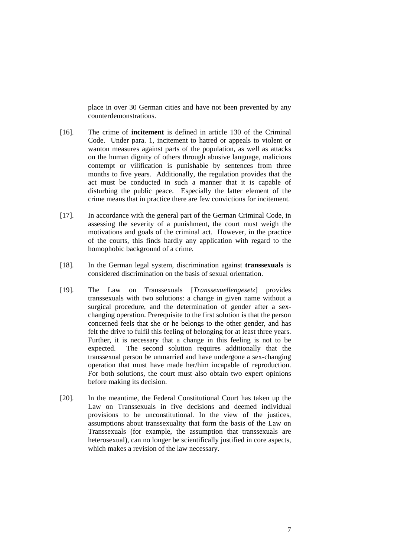place in over 30 German cities and have not been prevented by any counterdemonstrations.

- [16]. The crime of **incitement** is defined in article 130 of the Criminal Code. Under para. 1, incitement to hatred or appeals to violent or wanton measures against parts of the population, as well as attacks on the human dignity of others through abusive language, malicious contempt or vilification is punishable by sentences from three months to five years. Additionally, the regulation provides that the act must be conducted in such a manner that it is capable of disturbing the public peace. Especially the latter element of the crime means that in practice there are few convictions for incitement.
- [17]. In accordance with the general part of the German Criminal Code, in assessing the severity of a punishment, the court must weigh the motivations and goals of the criminal act. However, in the practice of the courts, this finds hardly any application with regard to the homophobic background of a crime.
- [18]. In the German legal system, discrimination against **transsexuals** is considered discrimination on the basis of sexual orientation.
- [19]. The Law on Transsexuals [*Transsexuellengesetz*] provides transsexuals with two solutions: a change in given name without a surgical procedure, and the determination of gender after a sexchanging operation. Prerequisite to the first solution is that the person concerned feels that she or he belongs to the other gender, and has felt the drive to fulfil this feeling of belonging for at least three years. Further, it is necessary that a change in this feeling is not to be expected. The second solution requires additionally that the transsexual person be unmarried and have undergone a sex-changing operation that must have made her/him incapable of reproduction. For both solutions, the court must also obtain two expert opinions before making its decision.
- [20]. In the meantime, the Federal Constitutional Court has taken up the Law on Transsexuals in five decisions and deemed individual provisions to be unconstitutional. In the view of the justices, assumptions about transsexuality that form the basis of the Law on Transsexuals (for example, the assumption that transsexuals are heterosexual), can no longer be scientifically justified in core aspects, which makes a revision of the law necessary.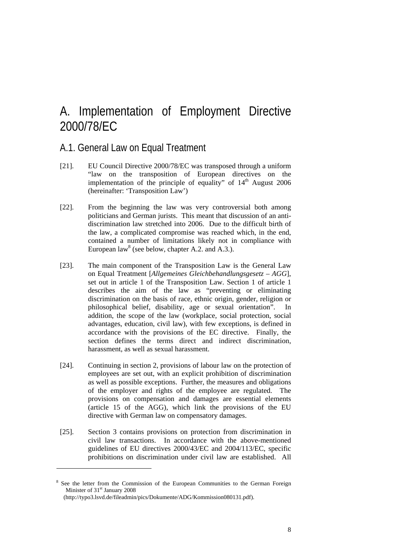## A. Implementation of Employment Directive 2000/78/EC

### A.1. General Law on Equal Treatment

- [21]. EU Council Directive 2000/78/EC was transposed through a uniform "law on the transposition of European directives on the implementation of the principle of equality" of  $14<sup>th</sup>$  August 2006 (hereinafter: 'Transposition Law')
- [22]. From the beginning the law was very controversial both among politicians and German jurists. This meant that discussion of an antidiscrimination law stretched into 2006. Due to the difficult birth of the law, a complicated compromise was reached which, in the end, contained a number of limitations likely not in compliance with European law<sup>8</sup> (see below, chapter A.2. and A.3.).
- [23]. The main component of the Transposition Law is the General Law on Equal Treatment [*Allgemeines Gleichbehandlungsgesetz – AGG*], set out in article 1 of the Transposition Law. Section 1 of article 1 describes the aim of the law as "preventing or eliminating discrimination on the basis of race, ethnic origin, gender, religion or philosophical belief, disability, age or sexual orientation". In addition, the scope of the law (workplace, social protection, social advantages, education, civil law), with few exceptions, is defined in accordance with the provisions of the EC directive. Finally, the section defines the terms direct and indirect discrimination, harassment, as well as sexual harassment.
- [24]. Continuing in section 2, provisions of labour law on the protection of employees are set out, with an explicit prohibition of discrimination as well as possible exceptions. Further, the measures and obligations of the employer and rights of the employee are regulated. The provisions on compensation and damages are essential elements (article 15 of the AGG), which link the provisions of the EU directive with German law on compensatory damages.
- [25]. Section 3 contains provisions on protection from discrimination in civil law transactions. In accordance with the above-mentioned guidelines of EU directives 2000/43/EC and 2004/113/EC, specific prohibitions on discrimination under civil law are established. All

<sup>&</sup>lt;sup>8</sup> See the letter from the Commission of the European Communities to the German Foreign Minister of 31<sup>st</sup> January 2008

<sup>(</sup>http://typo3.lsvd.de/fileadmin/pics/Dokumente/ADG/Kommission080131.pdf).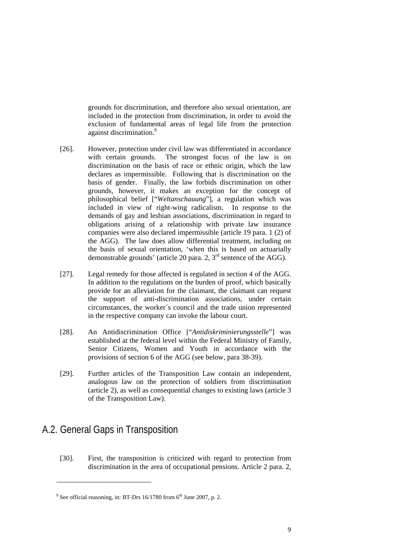grounds for discrimination, and therefore also sexual orientation, are included in the protection from discrimination, in order to avoid the exclusion of fundamental areas of legal life from the protection against discrimination.<sup>9</sup>

- [26]. However, protection under civil law was differentiated in accordance with certain grounds. The strongest focus of the law is on discrimination on the basis of race or ethnic origin, which the law declares as impermissible. Following that is discrimination on the basis of gender. Finally, the law forbids discrimination on other grounds, however, it makes an exception for the concept of philosophical belief ["*Weltanschauung*"], a regulation which was included in view of right-wing radicalism. In response to the demands of gay and lesbian associations, discrimination in regard to obligations arising of a relationship with private law insurance companies were also declared impermissible (article 19 para. 1 (2) of the AGG). The law does allow differential treatment, including on the basis of sexual orientation, 'when this is based on actuarially demonstrable grounds' (article 20 para. 2,  $3<sup>rd</sup>$  sentence of the AGG).
- [27]. Legal remedy for those affected is regulated in section 4 of the AGG. In addition to the regulations on the burden of proof, which basically provide for an alleviation for the claimant, the claimant can request the support of anti-discrimination associations, under certain circumstances, the worker´s council and the trade union represented in the respective company can invoke the labour court.
- [28]. An Antidiscrimination Office ["*Antidiskriminierungsstelle*"] was established at the federal level within the Federal Ministry of Family, Senior Citizens, Women and Youth in accordance with the provisions of section 6 of the AGG (see below, para 38-39).
- [29]. Further articles of the Transposition Law contain an independent, analogous law on the protection of soldiers from discrimination (article 2), as well as consequential changes to existing laws (article 3 of the Transposition Law).

## A.2. General Gaps in Transposition

1

[30]. First, the transposition is criticized with regard to protection from discrimination in the area of occupational pensions. Article 2 para. 2,

<sup>&</sup>lt;sup>9</sup> See official reasoning, in: BT-Drs 16/1780 from  $6<sup>th</sup>$  June 2007, p. 2.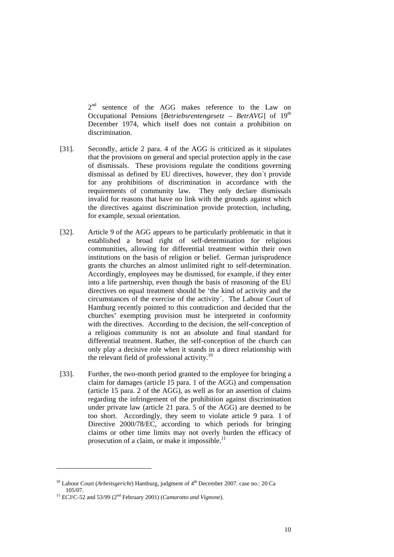2<sup>nd</sup> sentence of the AGG makes reference to the Law on Occupational Pensions [*Betriebsrentengesetz – BetrAVG*] of 19<sup>th</sup> December 1974, which itself does not contain a prohibition on discrimination.

- [31]. Secondly, article 2 para. 4 of the AGG is criticized as it stipulates that the provisions on general and special protection apply in the case of dismissals. These provisions regulate the conditions governing dismissal as defined by EU directives, however, they don´t provide for any prohibitions of discrimination in accordance with the requirements of community law. They only declare dismissals invalid for reasons that have no link with the grounds against which the directives against discrimination provide protection, including, for example, sexual orientation.
- [32]. Article 9 of the AGG appears to be particularly problematic in that it established a broad right of self-determination for religious communities, allowing for differential treatment within their own institutions on the basis of religion or belief. German jurisprudence grants the churches an almost unlimited right to self-determination. Accordingly, employees may be dismissed, for example, if they enter into a life partnership, even though the basis of reasoning of the EU directives on equal treatment should be 'the kind of activity and the circumstances of the exercise of the activity´. The Labour Court of Hamburg recently pointed to this contradiction and decided that the churches' exempting provision must be interpreted in conformity with the directives. According to the decision, the self-conception of a religious community is not an absolute and final standard for differential treatment. Rather, the self-conception of the church can only play a decisive role when it stands in a direct relationship with the relevant field of professional activity.<sup>10</sup>
- [33]. Further, the two-month period granted to the employee for bringing a claim for damages (article 15 para. 1 of the AGG) and compensation (article 15 para. 2 of the AGG), as well as for an assertion of claims regarding the infringement of the prohibition against discrimination under private law (article 21 para. 5 of the AGG) are deemed to be too short. Accordingly, they seem to violate article 9 para. 1 of Directive 2000/78/EC, according to which periods for bringing claims or other time limits may not overly burden the efficacy of prosecution of a claim, or make it impossible. $^{11}$

<sup>&</sup>lt;sup>10</sup> Labour Court (*Arbeitsgericht*) Hamburg, judgment of  $4<sup>th</sup>$  December 2007. case no.: 20 Ca 105/07. 11 ECJ/C-52 and 53/99 (2nd February 2001) (*Camarotto and Vignone*).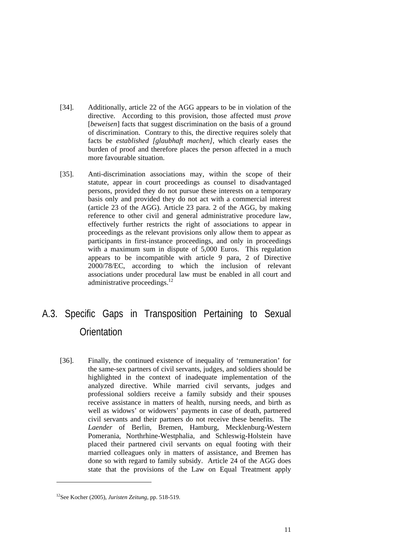- [34]. Additionally, article 22 of the AGG appears to be in violation of the directive. According to this provision, those affected must *prove* [*beweisen*] facts that suggest discrimination on the basis of a ground of discrimination. Contrary to this, the directive requires solely that facts be *established [glaubhaft machen],* which clearly eases the burden of proof and therefore places the person affected in a much more favourable situation.
- [35]. Anti-discrimination associations may, within the scope of their statute, appear in court proceedings as counsel to disadvantaged persons, provided they do not pursue these interests on a temporary basis only and provided they do not act with a commercial interest (article 23 of the AGG). Article 23 para. 2 of the AGG, by making reference to other civil and general administrative procedure law, effectively further restricts the right of associations to appear in proceedings as the relevant provisions only allow them to appear as participants in first-instance proceedings, and only in proceedings with a maximum sum in dispute of 5,000 Euros. This regulation appears to be incompatible with article 9 para, 2 of Directive 2000/78/EC, according to which the inclusion of relevant associations under procedural law must be enabled in all court and administrative proceedings. $^{12}$

## A.3. Specific Gaps in Transposition Pertaining to Sexual **Orientation**

[36]. Finally, the continued existence of inequality of 'remuneration' for the same-sex partners of civil servants, judges, and soldiers should be highlighted in the context of inadequate implementation of the analyzed directive. While married civil servants, judges and professional soldiers receive a family subsidy and their spouses receive assistance in matters of health, nursing needs, and birth as well as widows' or widowers' payments in case of death, partnered civil servants and their partners do not receive these benefits. The *Laender* of Berlin, Bremen, Hamburg, Mecklenburg-Western Pomerania, Northrhine-Westphalia, and Schleswig-Holstein have placed their partnered civil servants on equal footing with their married colleagues only in matters of assistance, and Bremen has done so with regard to family subsidy. Article 24 of the AGG does state that the provisions of the Law on Equal Treatment apply

<sup>12</sup>See Kocher (2005), *Juristen Zeitung,* pp. 518-519.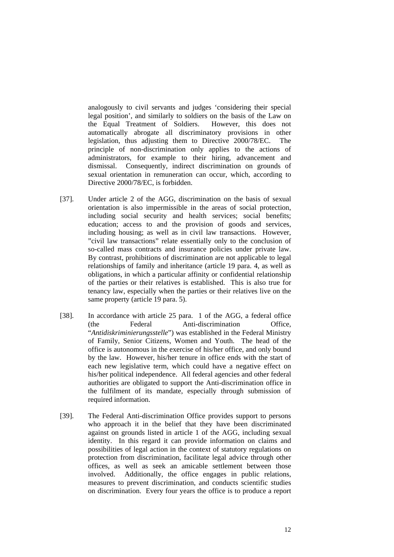analogously to civil servants and judges 'considering their special legal position', and similarly to soldiers on the basis of the Law on the Equal Treatment of Soldiers. However, this does not automatically abrogate all discriminatory provisions in other legislation, thus adjusting them to Directive 2000/78/EC. The principle of non-discrimination only applies to the actions of administrators, for example to their hiring, advancement and dismissal. Consequently, indirect discrimination on grounds of sexual orientation in remuneration can occur, which, according to Directive 2000/78/EC, is forbidden.

- [37]. Under article 2 of the AGG, discrimination on the basis of sexual orientation is also impermissible in the areas of social protection, including social security and health services; social benefits; education; access to and the provision of goods and services, including housing; as well as in civil law transactions. However, "civil law transactions" relate essentially only to the conclusion of so-called mass contracts and insurance policies under private law. By contrast, prohibitions of discrimination are not applicable to legal relationships of family and inheritance (article 19 para. 4, as well as obligations, in which a particular affinity or confidential relationship of the parties or their relatives is established. This is also true for tenancy law, especially when the parties or their relatives live on the same property (article 19 para. 5).
- [38]. In accordance with article 25 para. 1 of the AGG, a federal office (the Federal Anti-discrimination Office, "*Antidiskriminierungsstelle*") was established in the Federal Ministry of Family, Senior Citizens, Women and Youth. The head of the office is autonomous in the exercise of his/her office, and only bound by the law. However, his/her tenure in office ends with the start of each new legislative term, which could have a negative effect on his/her political independence. All federal agencies and other federal authorities are obligated to support the Anti-discrimination office in the fulfilment of its mandate, especially through submission of required information.
- [39]. The Federal Anti-discrimination Office provides support to persons who approach it in the belief that they have been discriminated against on grounds listed in article 1 of the AGG, including sexual identity. In this regard it can provide information on claims and possibilities of legal action in the context of statutory regulations on protection from discrimination, facilitate legal advice through other offices, as well as seek an amicable settlement between those involved. Additionally, the office engages in public relations, measures to prevent discrimination, and conducts scientific studies on discrimination. Every four years the office is to produce a report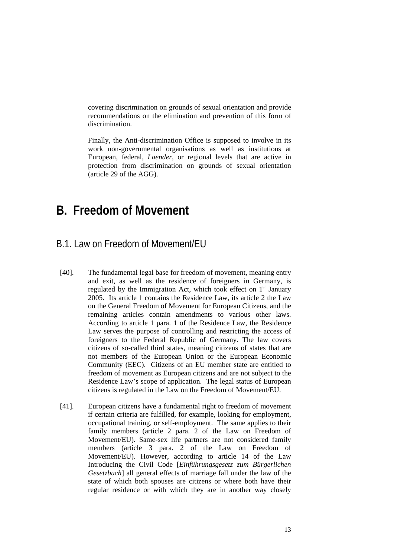covering discrimination on grounds of sexual orientation and provide recommendations on the elimination and prevention of this form of discrimination.

 Finally, the Anti-discrimination Office is supposed to involve in its work non-governmental organisations as well as institutions at European, federal, *Laender*, or regional levels that are active in protection from discrimination on grounds of sexual orientation (article 29 of the AGG).

## **B. Freedom of Movement**

#### B.1. Law on Freedom of Movement/EU

- [40]. The fundamental legal base for freedom of movement, meaning entry and exit, as well as the residence of foreigners in Germany, is regulated by the Immigration Act, which took effect on  $1<sup>st</sup>$  January 2005. Its article 1 contains the Residence Law, its article 2 the Law on the General Freedom of Movement for European Citizens, and the remaining articles contain amendments to various other laws. According to article 1 para. 1 of the Residence Law, the Residence Law serves the purpose of controlling and restricting the access of foreigners to the Federal Republic of Germany. The law covers citizens of so-called third states, meaning citizens of states that are not members of the European Union or the European Economic Community (EEC). Citizens of an EU member state are entitled to freedom of movement as European citizens and are not subject to the Residence Law's scope of application. The legal status of European citizens is regulated in the Law on the Freedom of Movement/EU.
- [41]. European citizens have a fundamental right to freedom of movement if certain criteria are fulfilled, for example, looking for employment, occupational training, or self-employment. The same applies to their family members (article 2 para. 2 of the Law on Freedom of Movement/EU). Same-sex life partners are not considered family members (article 3 para. 2 of the Law on Freedom of Movement/EU). However, according to article 14 of the Law Introducing the Civil Code [*Einführungsgesetz zum Bürgerlichen Gesetzbuch*] all general effects of marriage fall under the law of the state of which both spouses are citizens or where both have their regular residence or with which they are in another way closely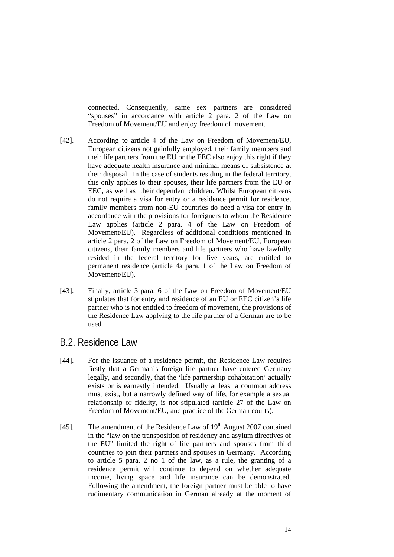connected. Consequently, same sex partners are considered "spouses" in accordance with article 2 para. 2 of the Law on Freedom of Movement/EU and enjoy freedom of movement.

- [42]. According to article 4 of the Law on Freedom of Movement/EU, European citizens not gainfully employed, their family members and their life partners from the EU or the EEC also enjoy this right if they have adequate health insurance and minimal means of subsistence at their disposal. In the case of students residing in the federal territory, this only applies to their spouses, their life partners from the EU or EEC, as well as their dependent children. Whilst European citizens do not require a visa for entry or a residence permit for residence, family members from non-EU countries do need a visa for entry in accordance with the provisions for foreigners to whom the Residence Law applies (article 2 para. 4 of the Law on Freedom of Movement/EU). Regardless of additional conditions mentioned in article 2 para. 2 of the Law on Freedom of Movement/EU, European citizens, their family members and life partners who have lawfully resided in the federal territory for five years, are entitled to permanent residence (article 4a para. 1 of the Law on Freedom of Movement/EU).
- [43]. Finally, article 3 para. 6 of the Law on Freedom of Movement/EU stipulates that for entry and residence of an EU or EEC citizen's life partner who is not entitled to freedom of movement, the provisions of the Residence Law applying to the life partner of a German are to be used.

#### B.2. Residence Law

- [44]. For the issuance of a residence permit, the Residence Law requires firstly that a German's foreign life partner have entered Germany legally, and secondly, that the 'life partnership cohabitation' actually exists or is earnestly intended. Usually at least a common address must exist, but a narrowly defined way of life, for example a sexual relationship or fidelity, is not stipulated (article 27 of the Law on Freedom of Movement/EU, and practice of the German courts).
- [45]. The amendment of the Residence Law of  $19<sup>th</sup>$  August 2007 contained in the "law on the transposition of residency and asylum directives of the EU" limited the right of life partners and spouses from third countries to join their partners and spouses in Germany. According to article 5 para. 2 no 1 of the law, as a rule, the granting of a residence permit will continue to depend on whether adequate income, living space and life insurance can be demonstrated. Following the amendment, the foreign partner must be able to have rudimentary communication in German already at the moment of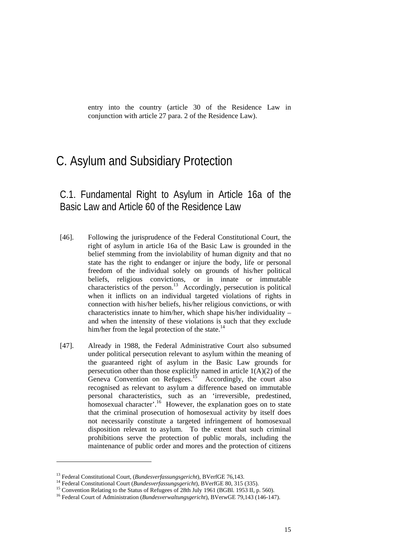entry into the country (article 30 of the Residence Law in conjunction with article 27 para. 2 of the Residence Law).

## C. Asylum and Subsidiary Protection

C.1. Fundamental Right to Asylum in Article 16a of the Basic Law and Article 60 of the Residence Law

- [46]. Following the jurisprudence of the Federal Constitutional Court, the right of asylum in article 16a of the Basic Law is grounded in the belief stemming from the inviolability of human dignity and that no state has the right to endanger or injure the body, life or personal freedom of the individual solely on grounds of his/her political beliefs, religious convictions, or in innate or immutable characteristics of the person.<sup>13</sup> Accordingly, persecution is political when it inflicts on an individual targeted violations of rights in connection with his/her beliefs, his/her religious convictions, or with characteristics innate to him/her, which shape his/her individuality – and when the intensity of these violations is such that they exclude him/her from the legal protection of the state. $^{14}$
- [47]. Already in 1988, the Federal Administrative Court also subsumed under political persecution relevant to asylum within the meaning of the guaranteed right of asylum in the Basic Law grounds for persecution other than those explicitly named in article  $1(A)(2)$  of the Geneva Convention on Refugees.<sup>15</sup> Accordingly, the court also recognised as relevant to asylum a difference based on immutable personal characteristics, such as an 'irreversible, predestined, homosexual character'.<sup>16</sup> However, the explanation goes on to state that the criminal prosecution of homosexual activity by itself does not necessarily constitute a targeted infringement of homosexual disposition relevant to asylum. To the extent that such criminal prohibitions serve the protection of public morals, including the maintenance of public order and mores and the protection of citizens

<sup>&</sup>lt;sup>13</sup> Federal Constitutional Court, (*Bundesverfassungsgericht*), BVerfGE 76,143.<br><sup>14</sup> Federal Constitutional Court (*Bundesverfassungsgericht*), BVerfGE 80, 315 (335).<br><sup>15</sup> Convention Relating to the Status of Refugees of

<sup>16</sup> Federal Court of Administration (*Bundesverwaltungsgericht*), BVerwGE 79,143 (146-147).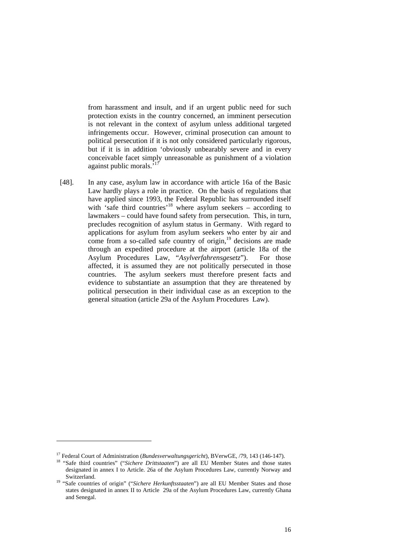from harassment and insult, and if an urgent public need for such protection exists in the country concerned, an imminent persecution is not relevant in the context of asylum unless additional targeted infringements occur. However, criminal prosecution can amount to political persecution if it is not only considered particularly rigorous, but if it is in addition 'obviously unbearably severe and in every conceivable facet simply unreasonable as punishment of a violation against public morals.<sup>'17</sup>

[48]. In any case, asylum law in accordance with article 16a of the Basic Law hardly plays a role in practice. On the basis of regulations that have applied since 1993, the Federal Republic has surrounded itself with 'safe third countries'<sup>18</sup> where asylum seekers – according to lawmakers – could have found safety from persecution. This, in turn, precludes recognition of asylum status in Germany. With regard to applications for asylum from asylum seekers who enter by air and come from a so-called safe country of origin,<sup>19</sup> decisions are made through an expedited procedure at the airport (article 18a of the Asylum Procedures Law, "*Asylverfahrensgesetz*"). For those affected, it is assumed they are not politically persecuted in those countries. The asylum seekers must therefore present facts and evidence to substantiate an assumption that they are threatened by political persecution in their individual case as an exception to the general situation (article 29a of the Asylum Procedures Law).

<sup>&</sup>lt;sup>17</sup> Federal Court of Administration (*Bundesverwaltungsgericht*), BVerwGE, /79, 143 (146-147).<br><sup>18</sup> "Safe third countries" ("*Sichere Drittstaaten*") are all EU Member States and those states

designated in annex I to Article. 26a of the Asylum Procedures Law, currently Norway and Switzerland. 19 "Safe countries of origin" ("*Sichere Herkunftsstaaten*") are all EU Member States and those

states designated in annex II to Article 29a of the Asylum Procedures Law, currently Ghana and Senegal.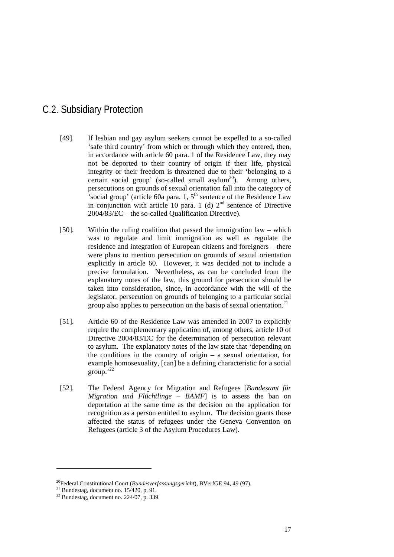## C.2. Subsidiary Protection

- [49]. If lesbian and gay asylum seekers cannot be expelled to a so-called 'safe third country' from which or through which they entered, then, in accordance with article 60 para. 1 of the Residence Law, they may not be deported to their country of origin if their life, physical integrity or their freedom is threatened due to their 'belonging to a certain social group' (so-called small asylum<sup>20</sup>). Among others, persecutions on grounds of sexual orientation fall into the category of 'social group' (article 60a para. 1,  $5<sup>th</sup>$  sentence of the Residence Law in conjunction with article 10 para. 1 (d)  $2<sup>nd</sup>$  sentence of Directive 2004/83/EC – the so-called Qualification Directive).
- [50]. Within the ruling coalition that passed the immigration law which was to regulate and limit immigration as well as regulate the residence and integration of European citizens and foreigners – there were plans to mention persecution on grounds of sexual orientation explicitly in article 60. However, it was decided not to include a precise formulation. Nevertheless, as can be concluded from the explanatory notes of the law, this ground for persecution should be taken into consideration, since, in accordance with the will of the legislator, persecution on grounds of belonging to a particular social group also applies to persecution on the basis of sexual orientation.21
- [51]. Article 60 of the Residence Law was amended in 2007 to explicitly require the complementary application of, among others, article 10 of Directive 2004/83/EC for the determination of persecution relevant to asylum. The explanatory notes of the law state that 'depending on the conditions in the country of origin  $-$  a sexual orientation, for example homosexuality, [can] be a defining characteristic for a social  $group.^{22}$
- [52]. The Federal Agency for Migration and Refugees [*Bundesamt für Migration und Flüchtlinge – BAMF*] is to assess the ban on deportation at the same time as the decision on the application for recognition as a person entitled to asylum. The decision grants those affected the status of refugees under the Geneva Convention on Refugees (article 3 of the Asylum Procedures Law).

<sup>&</sup>lt;sup>20</sup>Federal Constitutional Court (*Bundesverfassungsgericht*), BVerfGE 94, 49 (97).<br><sup>21</sup> Bundestag, document no. 15/420, p. 91.

 $22$  Bundestag, document no. 224/07, p. 339.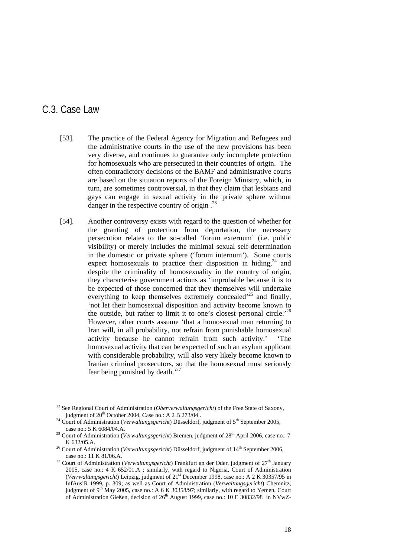### C.3. Case Law

- [53]. The practice of the Federal Agency for Migration and Refugees and the administrative courts in the use of the new provisions has been very diverse, and continues to guarantee only incomplete protection for homosexuals who are persecuted in their countries of origin. The often contradictory decisions of the BAMF and administrative courts are based on the situation reports of the Foreign Ministry, which, in turn, are sometimes controversial, in that they claim that lesbians and gays can engage in sexual activity in the private sphere without danger in the respective country of origin.<sup>23</sup>
- [54]. Another controversy exists with regard to the question of whether for the granting of protection from deportation, the necessary persecution relates to the so-called 'forum externum' (i.e. public visibility) or merely includes the minimal sexual self-determination in the domestic or private sphere ('forum internum'). Some courts expect homosexuals to practice their disposition in hiding, $24$  and despite the criminality of homosexuality in the country of origin, they characterise government actions as 'improbable because it is to be expected of those concerned that they themselves will undertake everything to keep themselves extremely concealed<sup>25</sup> and finally, 'not let their homosexual disposition and activity become known to the outside, but rather to limit it to one's closest personal circle.<sup> $26$ </sup> However, other courts assume 'that a homosexual man returning to Iran will, in all probability, not refrain from punishable homosexual activity because he cannot refrain from such activity.' 'The homosexual activity that can be expected of such an asylum applicant with considerable probability, will also very likely become known to Iranian criminal prosecutors, so that the homosexual must seriously fear being punished by death.'27

<sup>23</sup> See Regional Court of Administration (*Oberverwaltungsgericht*) of the Free State of Saxony,

judgment of 20<sup>th</sup> October 2004, Case no.: A 2 B 273/04 .<br><sup>24</sup> Court of Administration (*Verwaltungsgericht*) Düsseldorf, judgment of 5<sup>th</sup> September 2005, case no.: 5 K 6084/04.A. 25 Court of Administration (*Verwaltungsgericht*) Bremen, judgment of 28th April 2006, case no.: 7

K 632/05.A.<br><sup>26</sup> Court of Administration (*Verwaltungsgericht*) Düsseldorf, judgment of 14<sup>th</sup> September 2006,

case no.: 11 K 81/06.A. 27 Court of Administration (*Verwaltungsgericht*) Frankfurt an der Oder, judgment of 27th January 2005, case no.: 4 K 652/01.A ; similarly, with regard to Nigeria, Court of Administration (*Verrwaltungsgericht*) Leipzig, judgment of 21st December 1998, case no.: A 2 K 30357/95 in InfAuslR 1999, p. 309; as well as Court of Administration (*Verwaltungsgericht*) Chemnitz, judgment of  $9<sup>th</sup>$  May 2005, case no.: A 6 K 30358/97; similarly, with regard to Yemen, Court of Administration Gießen, decision of 26<sup>th</sup> August 1999, case no.: 10 E 30832/98 in NVwZ-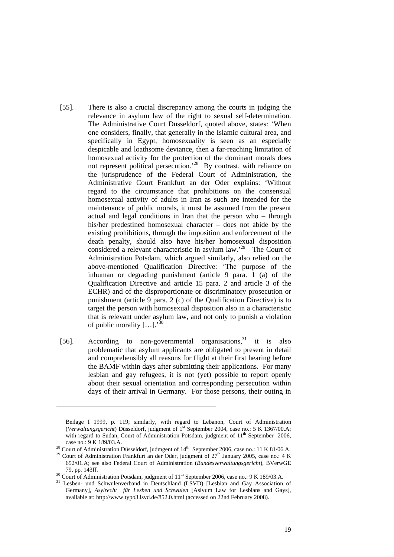- [55]. There is also a crucial discrepancy among the courts in judging the relevance in asylum law of the right to sexual self-determination. The Administrative Court Düsseldorf, quoted above, states: 'When one considers, finally, that generally in the Islamic cultural area, and specifically in Egypt, homosexuality is seen as an especially despicable and loathsome deviance, then a far-reaching limitation of homosexual activity for the protection of the dominant morals does not represent political persecution.<sup>28</sup> By contrast, with reliance on the jurisprudence of the Federal Court of Administration, the Administrative Court Frankfurt an der Oder explains: 'Without regard to the circumstance that prohibitions on the consensual homosexual activity of adults in Iran as such are intended for the maintenance of public morals, it must be assumed from the present actual and legal conditions in Iran that the person who – through his/her predestined homosexual character – does not abide by the existing prohibitions, through the imposition and enforcement of the death penalty, should also have his/her homosexual disposition considered a relevant characteristic in asylum law.'29 The Court of Administration Potsdam, which argued similarly, also relied on the above-mentioned Qualification Directive: 'The purpose of the inhuman or degrading punishment (article 9 para. 1 (a) of the Qualification Directive and article 15 para. 2 and article 3 of the ECHR) and of the disproportionate or discriminatory prosecution or punishment (article 9 para. 2 (c) of the Qualification Directive) is to target the person with homosexual disposition also in a characteristic that is relevant under asylum law, and not only to punish a violation of public morality  $\left[ \ldots \right]$ .<sup>30</sup>
- [56]. According to non-governmental organisations,<sup>31</sup> it is also problematic that asylum applicants are obligated to present in detail and comprehensibly all reasons for flight at their first hearing before the BAMF within days after submitting their applications. For many lesbian and gay refugees, it is not (yet) possible to report openly about their sexual orientation and corresponding persecution within days of their arrival in Germany. For those persons, their outing in

Beilage I 1999, p. 119; similarly, with regard to Lebanon, Court of Administration (*Verwaltungsgericht*) Düsseldorf, judgment of 1st September 2004, case no.: 5 K 1367/00.A; with regard to Sudan, Court of Administration Potsdam, judgment of 11<sup>th</sup> September 2006,

case no.: 9 K 189/03.A. <sup>28</sup> Court of Administration Düsseldorf, judmgent of 14<sup>th</sup> September 2006, case no.: 11 K 81/06.A. <sup>29</sup> Court of Administration Frankfurt an der Oder, judgment of 27<sup>th</sup> January 2005, case no.: 4

<sup>652/01.</sup>A; see also Federal Court of Administration (*Bundesverwaltungsgericht*), BVerwGE

<sup>79,</sup> pp. 143ff.<br><sup>30</sup> Court of Administration Potsdam, judgment of 11<sup>th</sup> September 2006, case no.: 9 K 189/03.A.<br><sup>31</sup> Lesben- und Schwulenverband in Deutschland (LSVD) [Lesbian and Gay Association of Germany], *Asylrecht für Lesben und Schwulen* [Aslyum Law for Lesbians and Gays], available at: http://www.typo3.lsvd.de/852.0.html (accessed on 22nd February 2008).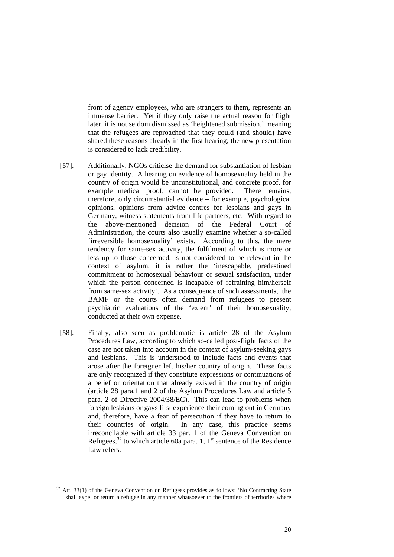front of agency employees, who are strangers to them, represents an immense barrier. Yet if they only raise the actual reason for flight later, it is not seldom dismissed as 'heightened submission,' meaning that the refugees are reproached that they could (and should) have shared these reasons already in the first hearing; the new presentation is considered to lack credibility.

- [57]. Additionally, NGOs criticise the demand for substantiation of lesbian or gay identity. A hearing on evidence of homosexuality held in the country of origin would be unconstitutional, and concrete proof, for example medical proof, cannot be provided. There remains, therefore, only circumstantial evidence – for example, psychological opinions, opinions from advice centres for lesbians and gays in Germany, witness statements from life partners, etc. With regard to the above-mentioned decision of the Federal Court of Administration, the courts also usually examine whether a so-called 'irreversible homosexuality' exists. According to this, the mere tendency for same-sex activity, the fulfilment of which is more or less up to those concerned, is not considered to be relevant in the context of asylum, it is rather the 'inescapable, predestined commitment to homosexual behaviour or sexual satisfaction, under which the person concerned is incapable of refraining him/herself from same-sex activity'. As a consequence of such assessments, the BAMF or the courts often demand from refugees to present psychiatric evaluations of the 'extent' of their homosexuality, conducted at their own expense.
- [58]. Finally, also seen as problematic is article 28 of the Asylum Procedures Law, according to which so-called post-flight facts of the case are not taken into account in the context of asylum-seeking gays and lesbians. This is understood to include facts and events that arose after the foreigner left his/her country of origin. These facts are only recognized if they constitute expressions or continuations of a belief or orientation that already existed in the country of origin (article 28 para.1 and 2 of the Asylum Procedures Law and article 5 para. 2 of Directive 2004/38/EC). This can lead to problems when foreign lesbians or gays first experience their coming out in Germany and, therefore, have a fear of persecution if they have to return to their countries of origin. In any case, this practice seems irreconcilable with article 33 par. 1 of the Geneva Convention on Refugees,<sup>32</sup> to which article 60a para. 1, 1<sup>st</sup> sentence of the Residence Law refers.

-

 $32$  Art. 33(1) of the Geneva Convention on Refugees provides as follows: 'No Contracting State shall expel or return a refugee in any manner whatsoever to the frontiers of territories where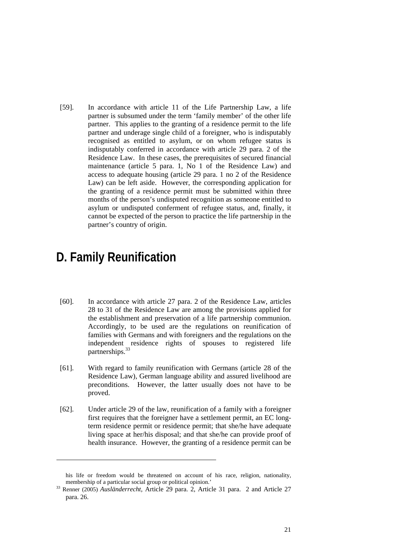[59]. In accordance with article 11 of the Life Partnership Law, a life partner is subsumed under the term 'family member' of the other life partner. This applies to the granting of a residence permit to the life partner and underage single child of a foreigner, who is indisputably recognised as entitled to asylum, or on whom refugee status is indisputably conferred in accordance with article 29 para. 2 of the Residence Law. In these cases, the prerequisites of secured financial maintenance (article 5 para. 1, No 1 of the Residence Law) and access to adequate housing (article 29 para. 1 no 2 of the Residence Law) can be left aside. However, the corresponding application for the granting of a residence permit must be submitted within three months of the person's undisputed recognition as someone entitled to asylum or undisputed conferment of refugee status, and, finally, it cannot be expected of the person to practice the life partnership in the partner's country of origin.

## **D. Family Reunification**

- [60]. In accordance with article 27 para. 2 of the Residence Law, articles 28 to 31 of the Residence Law are among the provisions applied for the establishment and preservation of a life partnership communion. Accordingly, to be used are the regulations on reunification of families with Germans and with foreigners and the regulations on the independent residence rights of spouses to registered life partnerships.<sup>33</sup>
- [61]. With regard to family reunification with Germans (article 28 of the Residence Law), German language ability and assured livelihood are preconditions. However, the latter usually does not have to be proved.
- [62]. Under article 29 of the law, reunification of a family with a foreigner first requires that the foreigner have a settlement permit, an EC longterm residence permit or residence permit; that she/he have adequate living space at her/his disposal; and that she/he can provide proof of health insurance. However, the granting of a residence permit can be

his life or freedom would be threatened on account of his race, religion, nationality,

membership of a particular social group or political opinion.'<br><sup>33</sup> Renner (2005) *Ausländerrecht*, Article 29 para. 2, Article 31 para. 2 and Article 27 para. 26.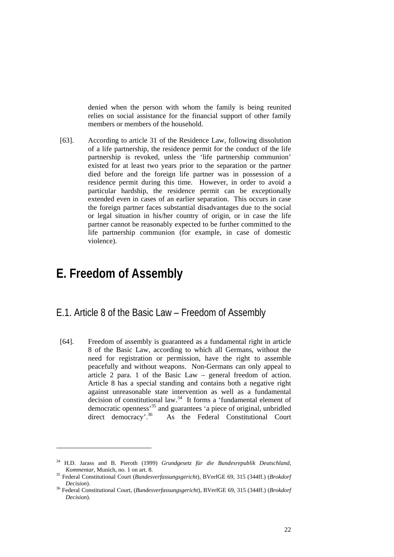denied when the person with whom the family is being reunited relies on social assistance for the financial support of other family members or members of the household.

[63]. According to article 31 of the Residence Law, following dissolution of a life partnership, the residence permit for the conduct of the life partnership is revoked, unless the 'life partnership communion' existed for at least two years prior to the separation or the partner died before and the foreign life partner was in possession of a residence permit during this time. However, in order to avoid a particular hardship, the residence permit can be exceptionally extended even in cases of an earlier separation. This occurs in case the foreign partner faces substantial disadvantages due to the social or legal situation in his/her country of origin, or in case the life partner cannot be reasonably expected to be further committed to the life partnership communion (for example, in case of domestic violence).

## **E. Freedom of Assembly**

- E.1. Article 8 of the Basic Law Freedom of Assembly
	- [64]. Freedom of assembly is guaranteed as a fundamental right in article 8 of the Basic Law, according to which all Germans, without the need for registration or permission, have the right to assemble peacefully and without weapons. Non-Germans can only appeal to article 2 para. 1 of the Basic Law – general freedom of action. Article 8 has a special standing and contains both a negative right against unreasonable state intervention as well as a fundamental decision of constitutional law.<sup>34</sup> It forms a 'fundamental element of democratic openness<sup>35</sup> and guarantees 'a piece of original, unbridled direct democracy'.<sup>36</sup> As the Federal Constitutional Court As the Federal Constitutional Court

<sup>34</sup> H.D. Jarass and B. Pieroth (1999) *Grundgesetz für die Bundesrepublik Deutschland, Kommentar,* Munich, no. 1 on art. 8. 35 Federal Constitutional Court (*Bundesverfassungsgericht*), BVerfGE 69, 315 (344ff.) (*Brokdorf* 

*Decision*). 36 Federal Constitutional Court, (*Bundesverfassungsgericht*), BVerfGE 69, 315 (344ff.) (*Brokdorf* 

*Decision*).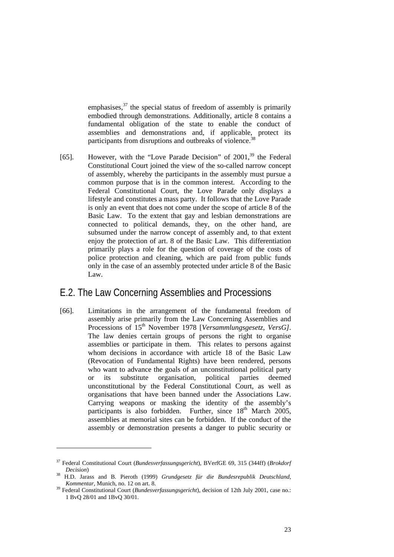emphasises, $3^7$  the special status of freedom of assembly is primarily embodied through demonstrations. Additionally, article 8 contains a fundamental obligation of the state to enable the conduct of assemblies and demonstrations and, if applicable, protect its participants from disruptions and outbreaks of violence.<sup>38</sup>

[65]. However, with the "Love Parade Decision" of 2001,<sup>39</sup> the Federal Constitutional Court joined the view of the so-called narrow concept of assembly, whereby the participants in the assembly must pursue a common purpose that is in the common interest. According to the Federal Constitutional Court, the Love Parade only displays a lifestyle and constitutes a mass party. It follows that the Love Parade is only an event that does not come under the scope of article 8 of the Basic Law. To the extent that gay and lesbian demonstrations are connected to political demands, they, on the other hand, are subsumed under the narrow concept of assembly and, to that extent enjoy the protection of art. 8 of the Basic Law. This differentiation primarily plays a role for the question of coverage of the costs of police protection and cleaning, which are paid from public funds only in the case of an assembly protected under article 8 of the Basic Law.

#### E.2. The Law Concerning Assemblies and Processions

[66]. Limitations in the arrangement of the fundamental freedom of assembly arise primarily from the Law Concerning Assemblies and Processions of 15th November 1978 [*Versammlungsgesetz, VersG]*. The law denies certain groups of persons the right to organise assemblies or participate in them. This relates to persons against whom decisions in accordance with article 18 of the Basic Law (Revocation of Fundamental Rights) have been rendered, persons who want to advance the goals of an unconstitutional political party or its substitute organisation, political parties deemed unconstitutional by the Federal Constitutional Court, as well as organisations that have been banned under the Associations Law. Carrying weapons or masking the identity of the assembly's participants is also forbidden. Further, since  $18<sup>th</sup>$  March 2005, assemblies at memorial sites can be forbidden. If the conduct of the assembly or demonstration presents a danger to public security or

<sup>37</sup> Federal Constitutional Court (*Bundesverfassungsgericht*), BVerfGE 69, 315 (344ff) (*Brokdorf* 

*Decision*) 38 H.D. Jarass and B. Pieroth (1999) *Grundgesetz für die Bundesrepublik Deutschland,* 

Federal Constitutional Court (*Bundesverfassungsgericht*), decision of 12th July 2001, case no.: 1 BvQ 28/01 and 1BvQ 30/01.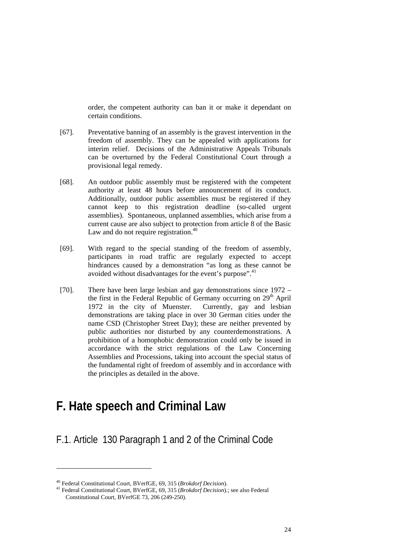order, the competent authority can ban it or make it dependant on certain conditions.

- [67]. Preventative banning of an assembly is the gravest intervention in the freedom of assembly. They can be appealed with applications for interim relief. Decisions of the Administrative Appeals Tribunals can be overturned by the Federal Constitutional Court through a provisional legal remedy.
- [68]. An outdoor public assembly must be registered with the competent authority at least 48 hours before announcement of its conduct. Additionally, outdoor public assemblies must be registered if they cannot keep to this registration deadline (so-called urgent assemblies). Spontaneous, unplanned assemblies, which arise from a current cause are also subject to protection from article 8 of the Basic Law and do not require registration.<sup>40</sup>
- [69]. With regard to the special standing of the freedom of assembly, participants in road traffic are regularly expected to accept hindrances caused by a demonstration "as long as these cannot be avoided without disadvantages for the event's purpose".<sup>41</sup>
- [70]. There have been large lesbian and gay demonstrations since 1972 the first in the Federal Republic of Germany occurring on  $29<sup>th</sup>$  April 1972 in the city of Muenster. Currently, gay and lesbian demonstrations are taking place in over 30 German cities under the name CSD (Christopher Street Day); these are neither prevented by public authorities nor disturbed by any counterdemonstrations. A prohibition of a homophobic demonstration could only be issued in accordance with the strict regulations of the Law Concerning Assemblies and Processions, taking into account the special status of the fundamental right of freedom of assembly and in accordance with the principles as detailed in the above.

## **F. Hate speech and Criminal Law**

### F.1. Article 130 Paragraph 1 and 2 of the Criminal Code

<sup>40</sup> Federal Constitutional Court, BVerfGE, 69, 315 (*Brokdorf Decision*). 41 Federal Constitutional Court, BVerfGE, 69, 315 (*Brokdorf Decision*).; see also Federal Constitutional Court, BVerfGE 73, 206 (249-250).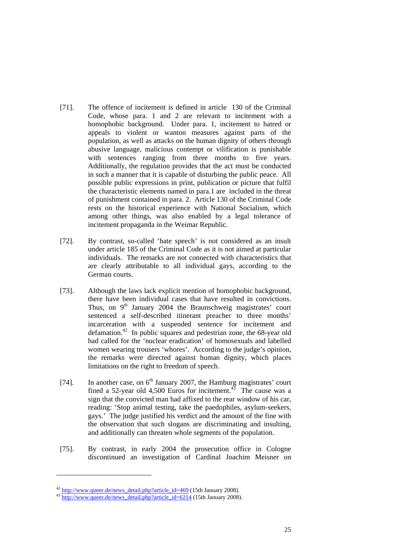- [71]. The offence of incitement is defined in article 130 of the Criminal Code, whose para. 1 and 2 are relevant to incitement with a homophobic background. Under para. 1, incitement to hatred or appeals to violent or wanton measures against parts of the population, as well as attacks on the human dignity of others through abusive language, malicious contempt or vilification is punishable with sentences ranging from three months to five years. Additionally, the regulation provides that the act must be conducted in such a manner that it is capable of disturbing the public peace. All possible public expressions in print, publication or picture that fulfil the characteristic elements named in para.1 are included in the threat of punishment contained in para. 2. Article 130 of the Criminal Code rests on the historical experience with National Socialism, which among other things, was also enabled by a legal tolerance of incitement propaganda in the Weimar Republic.
- [72]. By contrast, so-called 'hate speech' is not considered as an insult under article 185 of the Criminal Code as it is not aimed at particular individuals. The remarks are not connected with characteristics that are clearly attributable to all individual gays, according to the German courts.
- [73]. Although the laws lack explicit mention of homophobic background, there have been individual cases that have resulted in convictions. Thus, on 9<sup>th</sup> January 2004 the Braunschweig magistrates' court sentenced a self-described itinerant preacher to three months' incarceration with a suspended sentence for incitement and defamation.<sup>42</sup> In public squares and pedestrian zone, the  $68$ -year old had called for the 'nuclear eradication' of homosexuals and labelled women wearing trousers 'whores'. According to the judge's opinion, the remarks were directed against human dignity, which places limitations on the right to freedom of speech.
- [74]. In another case, on  $6<sup>th</sup>$  January 2007, the Hamburg magistrates' court fined a 52-year old 4,500 Euros for incitement.<sup>43</sup> The cause was a sign that the convicted man had affixed to the rear window of his car, reading: 'Stop animal testing, take the paedophiles, asylum-seekers, gays.' The judge justified his verdict and the amount of the fine with the observation that such slogans are discriminating and insulting, and additionally can threaten whole segments of the population.
- [75]. By contrast, in early 2004 the prosecution office in Cologne discontinued an investigation of Cardinal Joachim Meisner on

-

<sup>&</sup>lt;sup>42</sup> http://www.queer.de/news\_detail.php?article\_id=469 (15th January 2008).<br><sup>43</sup> http://www.queer.de/news\_detail.php?article\_id=6214 (15th January 2008).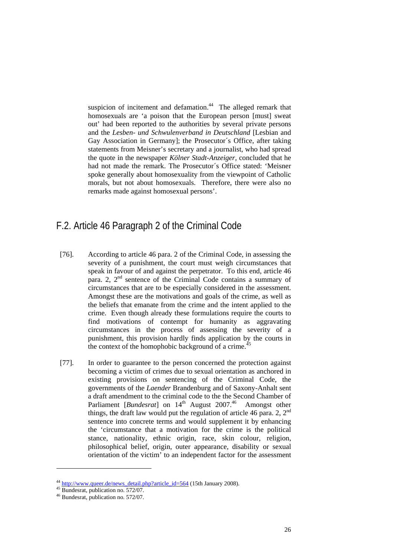suspicion of incitement and defamation.<sup>44</sup> The alleged remark that homosexuals are 'a poison that the European person [must] sweat out' had been reported to the authorities by several private persons and the *Lesben- und Schwulenverband in Deutschland* [Lesbian and Gay Association in Germany]; the Prosecutor´s Office, after taking statements from Meisner's secretary and a journalist, who had spread the quote in the newspaper *Kölner Stadt-Anzeiger,* concluded that he had not made the remark. The Prosecutor´s Office stated: 'Meisner spoke generally about homosexuality from the viewpoint of Catholic morals, but not about homosexuals. Therefore, there were also no remarks made against homosexual persons'.

### F.2. Article 46 Paragraph 2 of the Criminal Code

- [76]. According to article 46 para. 2 of the Criminal Code, in assessing the severity of a punishment, the court must weigh circumstances that speak in favour of and against the perpetrator. To this end, article 46 para. 2,  $2<sup>nd</sup>$  sentence of the Criminal Code contains a summary of circumstances that are to be especially considered in the assessment. Amongst these are the motivations and goals of the crime, as well as the beliefs that emanate from the crime and the intent applied to the crime. Even though already these formulations require the courts to find motivations of contempt for humanity as aggravating circumstances in the process of assessing the severity of a punishment, this provision hardly finds application by the courts in the context of the homophobic background of a crime.<sup>4</sup>
- [77]. In order to guarantee to the person concerned the protection against becoming a victim of crimes due to sexual orientation as anchored in existing provisions on sentencing of the Criminal Code, the governments of the *Laender* Brandenburg and of Saxony-Anhalt sent a draft amendment to the criminal code to the the Second Chamber of Parliament [*Bundesrat*] on 14th August 2007.46 Amongst other things, the draft law would put the regulation of article 46 para. 2,  $2^{nd}$ sentence into concrete terms and would supplement it by enhancing the 'circumstance that a motivation for the crime is the political stance, nationality, ethnic origin, race, skin colour, religion, philosophical belief, origin, outer appearance, disability or sexual orientation of the victim' to an independent factor for the assessment

<sup>&</sup>lt;sup>44</sup> http://www.queer.de/news\_detail.php?article\_id=564 (15th January 2008). 45 Bundesrat, publication no. 572/07.

 $^{46}$  Bundesrat, publication no. 572/07.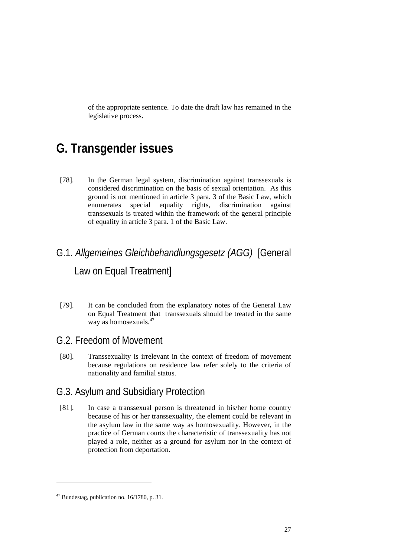of the appropriate sentence. To date the draft law has remained in the legislative process.

## **G. Transgender issues**

[78]. In the German legal system, discrimination against transsexuals is considered discrimination on the basis of sexual orientation. As this ground is not mentioned in article 3 para. 3 of the Basic Law, which enumerates special equality rights, discrimination against transsexuals is treated within the framework of the general principle of equality in article 3 para. 1 of the Basic Law.

## G.1. *Allgemeines Gleichbehandlungsgesetz (AGG)* [General Law on Equal Treatment]

[79]. It can be concluded from the explanatory notes of the General Law on Equal Treatment that transsexuals should be treated in the same way as homosexuals.<sup>47</sup>

### G.2. Freedom of Movement

[80]. Transsexuality is irrelevant in the context of freedom of movement because regulations on residence law refer solely to the criteria of nationality and familial status.

### G.3. Asylum and Subsidiary Protection

[81]. In case a transsexual person is threatened in his/her home country because of his or her transsexuality, the element could be relevant in the asylum law in the same way as homosexuality. However, in the practice of German courts the characteristic of transsexuality has not played a role, neither as a ground for asylum nor in the context of protection from deportation.

<sup>47</sup> Bundestag, publication no. 16/1780, p. 31.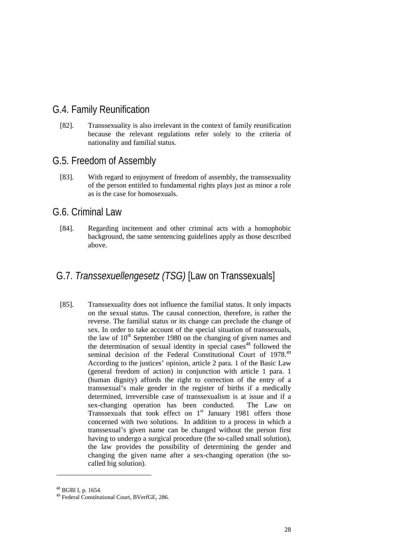### G.4. Family Reunification

[82]. Transsexuality is also irrelevant in the context of family reunification because the relevant regulations refer solely to the criteria of nationality and familial status.

#### G.5. Freedom of Assembly

[83]. With regard to enjoyment of freedom of assembly, the transsexuality of the person entitled to fundamental rights plays just as minor a role as is the case for homosexuals.

#### G.6. Criminal Law

[84]. Regarding incitement and other criminal acts with a homophobic background, the same sentencing guidelines apply as those described above.

## G.7. *Transsexuellengesetz (TSG)* [Law on Transsexuals]

[85]. Transsexuality does not influence the familial status. It only impacts on the sexual status. The causal connection, therefore, is rather the reverse. The familial status or its change can preclude the change of sex. In order to take account of the special situation of transsexuals, the law of  $10<sup>th</sup>$  September 1980 on the changing of given names and the determination of sexual identity in special cases<sup>48</sup> followed the seminal decision of the Federal Constitutional Court of 1978.<sup>49</sup> According to the justices' opinion, article 2 para. 1 of the Basic Law (general freedom of action) in conjunction with article 1 para. 1 (human dignity) affords the right to correction of the entry of a transsexual's male gender in the register of births if a medically determined, irreversible case of transsexualism is at issue and if a sex-changing operation has been conducted. The Law on Transsexuals that took effect on  $1<sup>st</sup>$  January 1981 offers those concerned with two solutions. In addition to a process in which a transsexual's given name can be changed without the person first having to undergo a surgical procedure (the so-called small solution), the law provides the possibility of determining the gender and changing the given name after a sex-changing operation (the socalled big solution).

-

<sup>48</sup> BGBl I, p. 1654.

<sup>49</sup> Federal Constitutional Court, BVerfGE, 286.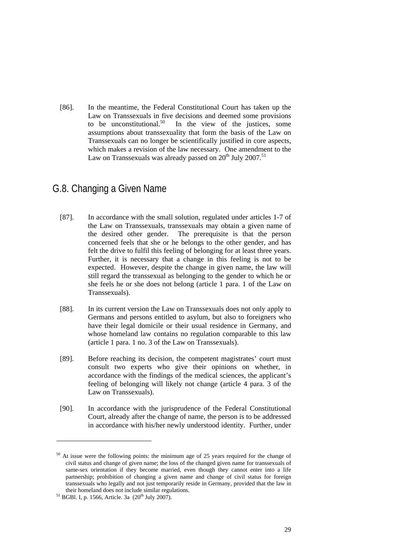[86]. In the meantime, the Federal Constitutional Court has taken up the Law on Transsexuals in five decisions and deemed some provisions to be unconstitutional.<sup>50</sup> In the view of the iustices, some In the view of the justices, some assumptions about transsexuality that form the basis of the Law on Transsexuals can no longer be scientifically justified in core aspects, which makes a revision of the law necessary. One amendment to the Law on Transsexuals was already passed on  $20^{th}$  July 2007.<sup>51</sup>

### G.8. Changing a Given Name

- [87]. In accordance with the small solution, regulated under articles 1-7 of the Law on Transsexuals, transsexuals may obtain a given name of the desired other gender. The prerequisite is that the person concerned feels that she or he belongs to the other gender, and has felt the drive to fulfil this feeling of belonging for at least three years. Further, it is necessary that a change in this feeling is not to be expected. However, despite the change in given name, the law will still regard the transsexual as belonging to the gender to which he or she feels he or she does not belong (article 1 para. 1 of the Law on Transsexuals).
- [88]. In its current version the Law on Transsexuals does not only apply to Germans and persons entitled to asylum, but also to foreigners who have their legal domicile or their usual residence in Germany, and whose homeland law contains no regulation comparable to this law (article 1 para. 1 no. 3 of the Law on Transsexuals).
- [89]. Before reaching its decision, the competent magistrates' court must consult two experts who give their opinions on whether, in accordance with the findings of the medical sciences, the applicant's feeling of belonging will likely not change (article 4 para. 3 of the Law on Transsexuals).
- [90]. In accordance with the jurisprudence of the Federal Constitutional Court, already after the change of name, the person is to be addressed in accordance with his/her newly understood identity. Further, under

<sup>50</sup> At issue were the following points: the minimum age of 25 years required for the change of civil status and change of given name; the loss of the changed given name for transsexuals of same-sex orientation if they become married, even though they cannot enter into a life partnership; prohibition of changing a given name and change of civil status for foreign transsexuals who legally and not just temporarily reside in Germany, provided that the law in their homeland does not include similar regulations.<br><sup>51</sup> BGBl. I, p. 1566, Article. 3a ( $20<sup>th</sup>$  July 2007).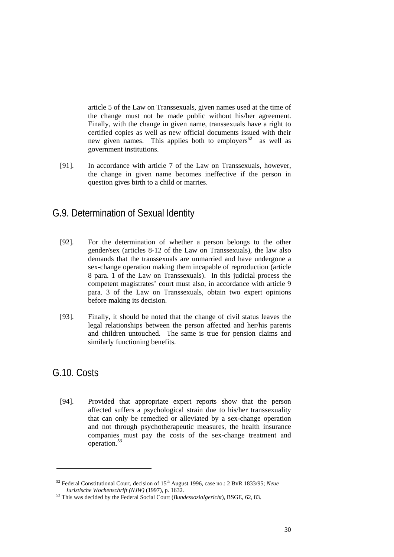article 5 of the Law on Transsexuals, given names used at the time of the change must not be made public without his/her agreement. Finally, with the change in given name, transsexuals have a right to certified copies as well as new official documents issued with their new given names. This applies both to employers<sup>52</sup> as well as government institutions.

[91]. In accordance with article 7 of the Law on Transsexuals, however, the change in given name becomes ineffective if the person in question gives birth to a child or marries.

### G.9. Determination of Sexual Identity

- [92]. For the determination of whether a person belongs to the other gender/sex (articles 8-12 of the Law on Transsexuals), the law also demands that the transsexuals are unmarried and have undergone a sex-change operation making them incapable of reproduction (article 8 para. 1 of the Law on Transsexuals). In this judicial process the competent magistrates' court must also, in accordance with article 9 para. 3 of the Law on Transsexuals, obtain two expert opinions before making its decision.
- [93]. Finally, it should be noted that the change of civil status leaves the legal relationships between the person affected and her/his parents and children untouched. The same is true for pension claims and similarly functioning benefits.

#### G.10. Costs

1

[94]. Provided that appropriate expert reports show that the person affected suffers a psychological strain due to his/her transsexuality that can only be remedied or alleviated by a sex-change operation and not through psychotherapeutic measures, the health insurance companies must pay the costs of the sex-change treatment and operation.53

 $52$  Federal Constitutional Court, decision of  $15<sup>th</sup>$  August 1996, case no.: 2 BvR 1833/95; *Neue Juristische Wochenschrift (NJW)* (1997), p. 1632.

<sup>&</sup>lt;sup>53</sup> This was decided by the Federal Social Court (*Bundessozialgericht*), BSGE, 62, 83.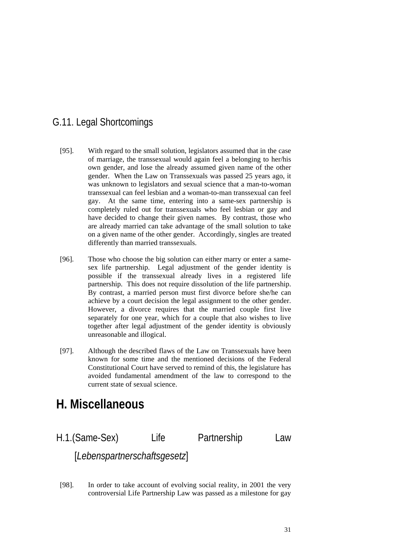## G.11. Legal Shortcomings

- [95]. With regard to the small solution, legislators assumed that in the case of marriage, the transsexual would again feel a belonging to her/his own gender, and lose the already assumed given name of the other gender. When the Law on Transsexuals was passed 25 years ago, it was unknown to legislators and sexual science that a man-to-woman transsexual can feel lesbian and a woman-to-man transsexual can feel gay. At the same time, entering into a same-sex partnership is completely ruled out for transsexuals who feel lesbian or gay and have decided to change their given names. By contrast, those who are already married can take advantage of the small solution to take on a given name of the other gender. Accordingly, singles are treated differently than married transsexuals.
- [96]. Those who choose the big solution can either marry or enter a samesex life partnership. Legal adjustment of the gender identity is possible if the transsexual already lives in a registered life partnership. This does not require dissolution of the life partnership. By contrast, a married person must first divorce before she/he can achieve by a court decision the legal assignment to the other gender. However, a divorce requires that the married couple first live separately for one year, which for a couple that also wishes to live together after legal adjustment of the gender identity is obviously unreasonable and illogical.
- [97]. Although the described flaws of the Law on Transsexuals have been known for some time and the mentioned decisions of the Federal Constitutional Court have served to remind of this, the legislature has avoided fundamental amendment of the law to correspond to the current state of sexual science.

## **H. Miscellaneous**

H.1.(Same-Sex) Life Partnership Law [*Lebenspartnerschaftsgesetz*]

[98]. In order to take account of evolving social reality, in 2001 the very controversial Life Partnership Law was passed as a milestone for gay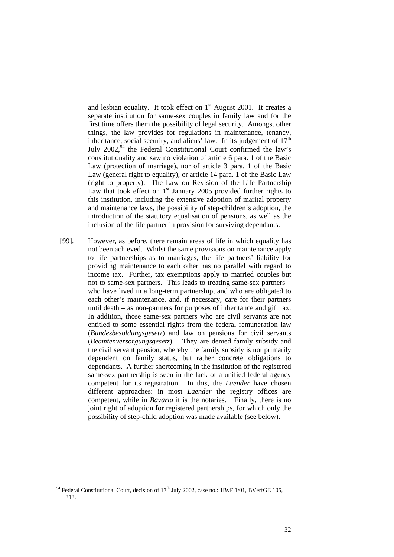and lesbian equality. It took effect on  $1<sup>st</sup>$  August 2001. It creates a separate institution for same-sex couples in family law and for the first time offers them the possibility of legal security. Amongst other things, the law provides for regulations in maintenance, tenancy, inheritance, social security, and aliens' law. In its judgement of  $17<sup>th</sup>$ July  $2002$ ,<sup>54</sup> the Federal Constitutional Court confirmed the law's constitutionality and saw no violation of article 6 para. 1 of the Basic Law (protection of marriage), nor of article 3 para. 1 of the Basic Law (general right to equality), or article 14 para. 1 of the Basic Law (right to property). The Law on Revision of the Life Partnership Law that took effect on  $1<sup>st</sup>$  January 2005 provided further rights to this institution, including the extensive adoption of marital property and maintenance laws, the possibility of step-children's adoption, the introduction of the statutory equalisation of pensions, as well as the inclusion of the life partner in provision for surviving dependants.

[99]. However, as before, there remain areas of life in which equality has not been achieved. Whilst the same provisions on maintenance apply to life partnerships as to marriages, the life partners' liability for providing maintenance to each other has no parallel with regard to income tax. Further, tax exemptions apply to married couples but not to same-sex partners. This leads to treating same-sex partners – who have lived in a long-term partnership, and who are obligated to each other's maintenance, and, if necessary, care for their partners until death – as non-partners for purposes of inheritance and gift tax. In addition, those same-sex partners who are civil servants are not entitled to some essential rights from the federal remuneration law (*Bundesbesoldungsgesetz*) and law on pensions for civil servants (*Beamtenversorgungsgesetz*). They are denied family subsidy and the civil servant pension, whereby the family subsidy is not primarily dependent on family status, but rather concrete obligations to dependants. A further shortcoming in the institution of the registered same-sex partnership is seen in the lack of a unified federal agency competent for its registration. In this, the *Laender* have chosen different approaches: in most *Laender* the registry offices are competent, while in *Bavaria* it is the notaries. Finally, there is no joint right of adoption for registered partnerships, for which only the possibility of step-child adoption was made available (see below).

<sup>&</sup>lt;sup>54</sup> Federal Constitutional Court, decision of  $17<sup>th</sup>$  July 2002, case no.: 1BvF 1/01, BVerfGE 105, 313.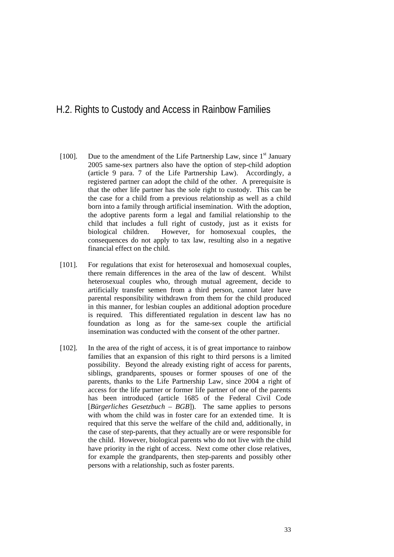### H.2. Rights to Custody and Access in Rainbow Families

- [100]. Due to the amendment of the Life Partnership Law, since  $1<sup>st</sup>$  January 2005 same-sex partners also have the option of step-child adoption (article 9 para. 7 of the Life Partnership Law). Accordingly, a registered partner can adopt the child of the other. A prerequisite is that the other life partner has the sole right to custody. This can be the case for a child from a previous relationship as well as a child born into a family through artificial insemination. With the adoption, the adoptive parents form a legal and familial relationship to the child that includes a full right of custody, just as it exists for biological children. However, for homosexual couples, the consequences do not apply to tax law, resulting also in a negative financial effect on the child.
- [101]. For regulations that exist for heterosexual and homosexual couples, there remain differences in the area of the law of descent. Whilst heterosexual couples who, through mutual agreement, decide to artificially transfer semen from a third person, cannot later have parental responsibility withdrawn from them for the child produced in this manner, for lesbian couples an additional adoption procedure is required. This differentiated regulation in descent law has no foundation as long as for the same-sex couple the artificial insemination was conducted with the consent of the other partner.
- [102]. In the area of the right of access, it is of great importance to rainbow families that an expansion of this right to third persons is a limited possibility. Beyond the already existing right of access for parents, siblings, grandparents, spouses or former spouses of one of the parents, thanks to the Life Partnership Law, since 2004 a right of access for the life partner or former life partner of one of the parents has been introduced (article 1685 of the Federal Civil Code [*Bürgerliches Gesetzbuch – BGB*]). The same applies to persons with whom the child was in foster care for an extended time. It is required that this serve the welfare of the child and, additionally, in the case of step-parents, that they actually are or were responsible for the child. However, biological parents who do not live with the child have priority in the right of access. Next come other close relatives, for example the grandparents, then step-parents and possibly other persons with a relationship, such as foster parents.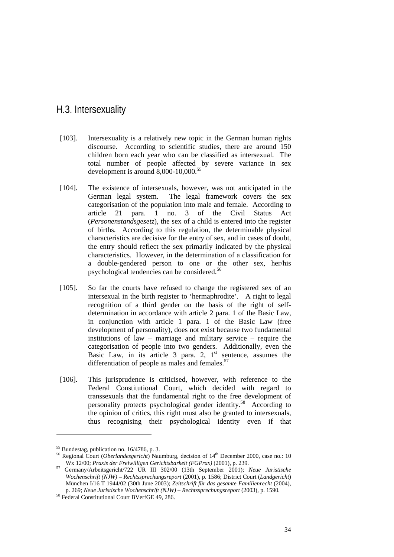### H.3. Intersexuality

- [103]. Intersexuality is a relatively new topic in the German human rights discourse. According to scientific studies, there are around 150 children born each year who can be classified as intersexual. The total number of people affected by severe variance in sex development is around  $8,000-10,000$ .<sup>55</sup>
- [104]. The existence of intersexuals, however, was not anticipated in the German legal system. The legal framework covers the sex categorisation of the population into male and female. According to article 21 para. 1 no. 3 of the Civil Status Act (*Personenstandsgesetz*), the sex of a child is entered into the register of births. According to this regulation, the determinable physical characteristics are decisive for the entry of sex, and in cases of doubt, the entry should reflect the sex primarily indicated by the physical characteristics. However, in the determination of a classification for a double-gendered person to one or the other sex, her/his psychological tendencies can be considered.<sup>56</sup>
- [105]. So far the courts have refused to change the registered sex of an intersexual in the birth register to 'hermaphrodite'. A right to legal recognition of a third gender on the basis of the right of selfdetermination in accordance with article 2 para. 1 of the Basic Law, in conjunction with article 1 para. 1 of the Basic Law (free development of personality), does not exist because two fundamental institutions of law – marriage and military service – require the categorisation of people into two genders. Additionally, even the Basic Law, in its article 3 para. 2,  $1<sup>st</sup>$  sentence, assumes the differentiation of people as males and females. $57$
- [106]. This jurisprudence is criticised, however, with reference to the Federal Constitutional Court, which decided with regard to transsexuals that the fundamental right to the free development of personality protects psychological gender identity.58 According to the opinion of critics, this right must also be granted to intersexuals, thus recognising their psychological identity even if that

 $55$  Bundestag, publication no. 16/4786, p. 3.

<sup>&</sup>lt;sup>56</sup> Regional Court (*Oberlandesgericht*) Naumburg, decision of 14<sup>th</sup> December 2000, case no.: 10<br>Wx 12/00: Praxis der Freiwilligen Gerichtsbarkeit (FGPrax) (2001), p. 239.

Wx 12/00; *Praxis der Freiwilligen Gerichtsbarkeit (FGPrax)* (2001), p. 239. 57 Germany/Arbeitsgericht/722 UR III 302/00 (13th September 2001); *Neue Juristische Wochenschrift (NJW) – Rechtssprechungsreport* (2001), p. 1586; District Court (*Landgericht*) München I/16 T 1944/02 (30th June 2003); *Zeitschrift für das gesamte Familienrecht* (2004), p. 269; *Neue Juristische Wochenschrift (NJW) – Rechtssprechungsreport* (2003), p. 1590. 58 Federal Constitutional Court BVerfGE 49, 286.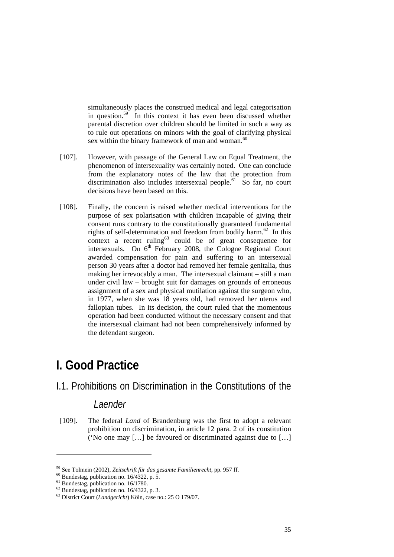simultaneously places the construed medical and legal categorisation in question.<sup>59</sup> In this context it has even been discussed whether parental discretion over children should be limited in such a way as to rule out operations on minors with the goal of clarifying physical sex within the binary framework of man and woman.<sup>60</sup>

- [107]. However, with passage of the General Law on Equal Treatment, the phenomenon of intersexuality was certainly noted. One can conclude from the explanatory notes of the law that the protection from discrimination also includes intersexual people.<sup>61</sup> So far, no court decisions have been based on this.
- [108]. Finally, the concern is raised whether medical interventions for the purpose of sex polarisation with children incapable of giving their consent runs contrary to the constitutionally guaranteed fundamental rights of self-determination and freedom from bodily harm.<sup>62</sup> In this context a recent ruling $63$  could be of great consequence for intersexuals. On  $6<sup>th</sup>$  February 2008, the Cologne Regional Court awarded compensation for pain and suffering to an intersexual person 30 years after a doctor had removed her female genitalia, thus making her irrevocably a man. The intersexual claimant – still a man under civil law – brought suit for damages on grounds of erroneous assignment of a sex and physical mutilation against the surgeon who, in 1977, when she was 18 years old, had removed her uterus and fallopian tubes. In its decision, the court ruled that the momentous operation had been conducted without the necessary consent and that the intersexual claimant had not been comprehensively informed by the defendant surgeon.

## **I. Good Practice**

I.1. Prohibitions on Discrimination in the Constitutions of the

#### *Laender*

[109]. The federal *Land* of Brandenburg was the first to adopt a relevant prohibition on discrimination, in article 12 para. 2 of its constitution ('No one may […] be favoured or discriminated against due to […]

-

<sup>&</sup>lt;sup>59</sup> See Tolmein (2002), *Zeitschrift für das gesamte Familienrecht*, pp. 957 ff. <sup>60</sup> Bundestag, publication no. 16/4322, p. 5.

 $61$  Bundestag, publication no. 16/1780.

 $62$  Bundestag, publication no. 16/4322, p. 3.

<sup>63</sup> District Court (*Landgericht*) Köln, case no.: 25 O 179/07.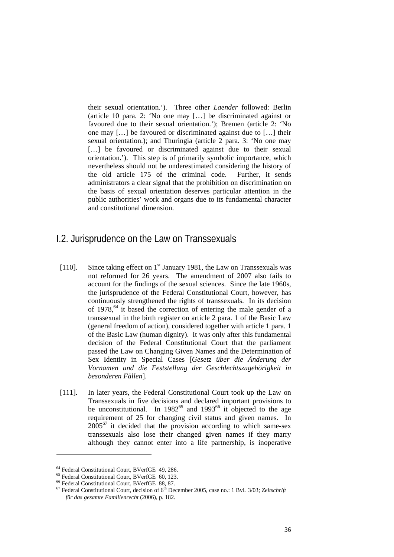their sexual orientation.'). Three other *Laender* followed: Berlin (article 10 para. 2: 'No one may […] be discriminated against or favoured due to their sexual orientation.'); Bremen (article 2: 'No one may […] be favoured or discriminated against due to […] their sexual orientation.); and Thuringia (article 2 para. 3: 'No one may [...] be favoured or discriminated against due to their sexual orientation.'). This step is of primarily symbolic importance, which nevertheless should not be underestimated considering the history of the old article 175 of the criminal code. Further, it sends administrators a clear signal that the prohibition on discrimination on the basis of sexual orientation deserves particular attention in the public authorities' work and organs due to its fundamental character and constitutional dimension.

### I.2. Jurisprudence on the Law on Transsexuals

- [110]. Since taking effect on  $1<sup>st</sup>$  January 1981, the Law on Transsexuals was not reformed for 26 years. The amendment of 2007 also fails to account for the findings of the sexual sciences. Since the late 1960s, the jurisprudence of the Federal Constitutional Court, however, has continuously strengthened the rights of transsexuals. In its decision of 1978,64 it based the correction of entering the male gender of a transsexual in the birth register on article 2 para. 1 of the Basic Law (general freedom of action), considered together with article 1 para. 1 of the Basic Law (human dignity). It was only after this fundamental decision of the Federal Constitutional Court that the parliament passed the Law on Changing Given Names and the Determination of Sex Identity in Special Cases [*Gesetz über die Änderung der Vornamen und die Feststellung der Geschlechtszugehörigkeit in besonderen Fällen*].
- [111]. In later years, the Federal Constitutional Court took up the Law on Transsexuals in five decisions and declared important provisions to be unconstitutional. In  $1982^{65}$  and  $1993^{66}$  it objected to the age requirement of 25 for changing civil status and given names. In  $2005^{67}$  it decided that the provision according to which same-sex transsexuals also lose their changed given names if they marry although they cannot enter into a life partnership, is inoperative

-

<sup>64</sup> Federal Constitutional Court, BVerfGE 49, 286.

<sup>65</sup> Federal Constitutional Court, BVerfGE 60, 123.

<sup>66</sup> Federal Constitutional Court, BVerfGE 88, 87.

<sup>&</sup>lt;sup>67</sup> Federal Constitutional Court, decision of 6<sup>th</sup> December 2005, case no.: 1 BvL 3/03; Zeitschrift *für das gesamte Familienrecht* (2006), p. 182.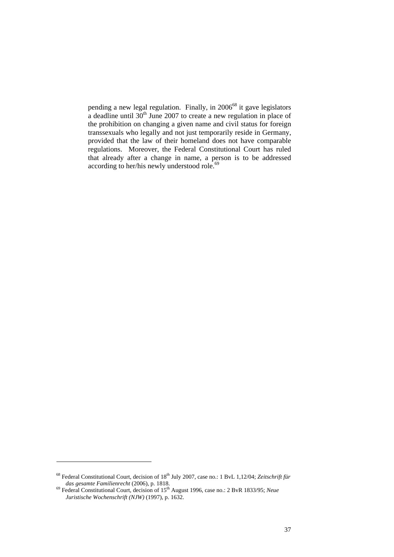pending a new legal regulation. Finally, in 2006<sup>68</sup> it gave legislators a deadline until  $30<sup>th</sup>$  June 2007 to create a new regulation in place of the prohibition on changing a given name and civil status for foreign transsexuals who legally and not just temporarily reside in Germany, provided that the law of their homeland does not have comparable regulations. Moreover, the Federal Constitutional Court has ruled that already after a change in name, a person is to be addressed according to her/his newly understood role.<sup>69</sup>

<sup>&</sup>lt;sup>68</sup> Federal Constitutional Court, decision of 18<sup>th</sup> July 2007, case no.: 1 BvL 1,12/04; Zeitschrift für *das gesamte Familienrecht* (2006), p. 1818.

*das gesamte Familienrecht* (2006), p. 1818. 69 Federal Constitutional Court, decision of 15th August 1996, case no.: 2 BvR 1833/95; *Neue Juristische Wochenschrift (NJW)* (1997), p. 1632.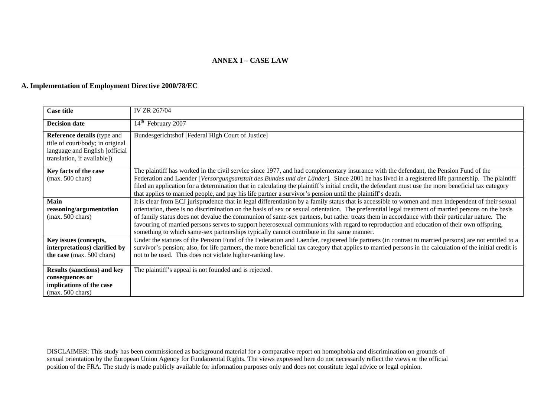#### **A. Implementation of Employment Directive 2000/78/EC**

| <b>Case title</b>                                                                                                                       | IV ZR 267/04                                                                                                                                                                                                                                                                                                                                                                                                                                                                                                                                                                                                                                                                                       |
|-----------------------------------------------------------------------------------------------------------------------------------------|----------------------------------------------------------------------------------------------------------------------------------------------------------------------------------------------------------------------------------------------------------------------------------------------------------------------------------------------------------------------------------------------------------------------------------------------------------------------------------------------------------------------------------------------------------------------------------------------------------------------------------------------------------------------------------------------------|
| <b>Decision date</b>                                                                                                                    | 14 <sup>th</sup> February 2007                                                                                                                                                                                                                                                                                                                                                                                                                                                                                                                                                                                                                                                                     |
| <b>Reference details</b> (type and<br>title of court/body; in original<br>language and English [official<br>translation, if available]) | Bundesgerichtshof [Federal High Court of Justice]                                                                                                                                                                                                                                                                                                                                                                                                                                                                                                                                                                                                                                                  |
| Key facts of the case<br>$(max. 500 \text{ chars})$                                                                                     | The plaintiff has worked in the civil service since 1977, and had complementary insurance with the defendant, the Pension Fund of the<br>Federation and Laender [Versorgungsanstalt des Bundes und der Länder]. Since 2001 he has lived in a registered life partnership. The plaintiff<br>filed an application for a determination that in calculating the plaintiff's initial credit, the defendant must use the more beneficial tax category<br>that applies to married people, and pay his life partner a survivor's pension until the plaintiff's death.                                                                                                                                      |
| <b>Main</b><br>reasoning/argumentation<br>$(max. 500 \text{ chars})$                                                                    | It is clear from ECJ jurisprudence that in legal differentiation by a family status that is accessible to women and men independent of their sexual<br>orientation, there is no discrimination on the basis of sex or sexual orientation. The preferential legal treatment of married persons on the basis<br>of family status does not devalue the communion of same-sex partners, but rather treats them in accordance with their particular nature. The<br>favouring of married persons serves to support heterosexual communions with regard to reproduction and education of their own offspring,<br>something to which same-sex partnerships typically cannot contribute in the same manner. |
| Key issues (concepts,<br>interpretations) clarified by<br>the case (max. $500$ chars)                                                   | Under the statutes of the Pension Fund of the Federation and Laender, registered life partners (in contrast to married persons) are not entitled to a<br>survivor's pension; also, for life partners, the more beneficial tax category that applies to married persons in the calculation of the initial credit is<br>not to be used. This does not violate higher-ranking law.                                                                                                                                                                                                                                                                                                                    |
| <b>Results (sanctions) and key</b><br>consequences or<br>implications of the case<br>$(max. 500 \text{ chars})$                         | The plaintiff's appeal is not founded and is rejected.                                                                                                                                                                                                                                                                                                                                                                                                                                                                                                                                                                                                                                             |

DISCLAIMER: This study has been commissioned as background material for a comparative report on homophobia and discrimination on grounds of sexual orientation by the European Union Agency for Fundamental Rights. The views expressed here do not necessarily reflect the views or the official position of the FRA. The study is made publicly available for information purposes only and does not constitute legal advice or legal opinion.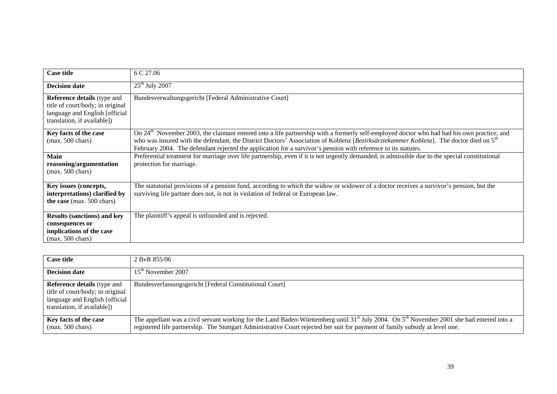| <b>Case title</b>                                                                                                                       | 6 C 27.06                                                                                                                                                                                                                                                                                                                                                                                                                     |
|-----------------------------------------------------------------------------------------------------------------------------------------|-------------------------------------------------------------------------------------------------------------------------------------------------------------------------------------------------------------------------------------------------------------------------------------------------------------------------------------------------------------------------------------------------------------------------------|
| <b>Decision date</b>                                                                                                                    | $25th$ July 2007                                                                                                                                                                                                                                                                                                                                                                                                              |
| <b>Reference details</b> (type and<br>title of court/body; in original<br>language and English [official<br>translation, if available]) | Bundesverwaltungsgericht [Federal Administrative Court]                                                                                                                                                                                                                                                                                                                                                                       |
| Key facts of the case<br>$(max. 500 \text{ chars})$                                                                                     | On 24 <sup>th</sup> November 2003, the claimant entered into a life partnership with a formerly self-employed doctor who had had his own practice, and<br>who was insured with the defendant, the District Doctors' Association of Koblenz [Bezirksärztekammer Koblenz]. The doctor died on 5 <sup>th</sup><br>February 2004. The defendant rejected the application for a survivor's pension with reference to its statutes. |
| <b>Main</b><br>reasoning/argumentation<br>$(max. 500 \text{ chars})$                                                                    | Preferential treatment for marriage over life partnership, even if it is not urgently demanded, is admissible due to the special constitutional<br>protection for marriage.                                                                                                                                                                                                                                                   |
| Key issues (concepts,<br>interpretations) clarified by<br>the case (max. 500 chars)                                                     | The statutorial provisions of a pension fund, according to which the widow or widower of a doctor receives a survivor's pension, but the<br>surviving life partner does not, is not in violation of federal or European law.                                                                                                                                                                                                  |
| <b>Results (sanctions) and key</b><br>consequences or<br>implications of the case<br>$(max. 500 \text{ chars})$                         | The plaintiff's appeal is unfounded and is rejected.                                                                                                                                                                                                                                                                                                                                                                          |

| <b>Case title</b>                                                                                                                        | 2 ByR 855/06                                                                                                                                                                                                                                                                              |
|------------------------------------------------------------------------------------------------------------------------------------------|-------------------------------------------------------------------------------------------------------------------------------------------------------------------------------------------------------------------------------------------------------------------------------------------|
| <b>Decision date</b>                                                                                                                     | $15th$ November 2007                                                                                                                                                                                                                                                                      |
| <b>Reference details</b> (type and<br>title of court/body; in original<br>language and English [official]<br>translation, if available]) | Bundesverfassungsgericht [Federal Constitutional Court]                                                                                                                                                                                                                                   |
| Key facts of the case<br>$(max. 500 \text{ chars})$                                                                                      | The appellant was a civil servant working for the Land Baden-Württemberg until 31 <sup>st</sup> July 2004. On $5th$ November 2001 she had entered into a<br>registered life partnership. The Stuttgart Administrative Court rejected her suit for payment of family subsidy at level one. |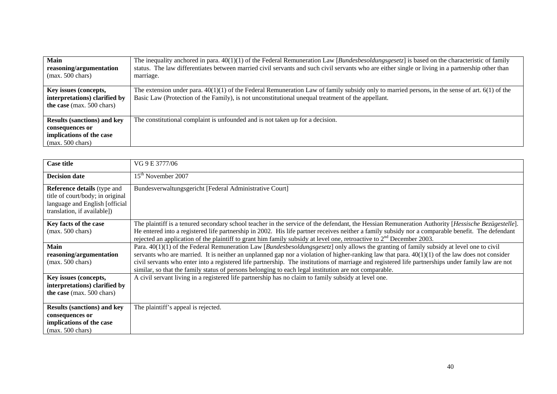| Main<br>reasoning/argumentation<br>$(max. 500 \text{ chars})$                                                   | The inequality anchored in para. $40(1)(1)$ of the Federal Remuneration Law [ <i>Bundesbesoldungsgesetz</i> ] is based on the characteristic of family<br>status. The law differentiates between married civil servants and such civil servants who are either single or living in a partnership other than<br>marriage. |
|-----------------------------------------------------------------------------------------------------------------|--------------------------------------------------------------------------------------------------------------------------------------------------------------------------------------------------------------------------------------------------------------------------------------------------------------------------|
| Key issues (concepts,<br>interpretations) clarified by<br>the case (max. 500 chars)                             | The extension under para. $40(1)(1)$ of the Federal Remuneration Law of family subsidy only to married persons, in the sense of art. $6(1)$ of the<br>Basic Law (Protection of the Family), is not unconstitutional unequal treatment of the appellant.                                                                  |
| <b>Results (sanctions) and key</b><br>consequences or<br>implications of the case<br>$(max. 500 \text{ chars})$ | The constitutional complaint is unfounded and is not taken up for a decision.                                                                                                                                                                                                                                            |

| <b>Case title</b>                                                                                                                       | VG 9 E 3777/06                                                                                                                                                                                                                                                                                                                                                                                                                                                                                                                                                |
|-----------------------------------------------------------------------------------------------------------------------------------------|---------------------------------------------------------------------------------------------------------------------------------------------------------------------------------------------------------------------------------------------------------------------------------------------------------------------------------------------------------------------------------------------------------------------------------------------------------------------------------------------------------------------------------------------------------------|
| <b>Decision date</b>                                                                                                                    | 15 <sup>th</sup> November 2007                                                                                                                                                                                                                                                                                                                                                                                                                                                                                                                                |
| <b>Reference details</b> (type and<br>title of court/body; in original<br>language and English [official<br>translation, if available]) | Bundesverwaltungsgericht [Federal Administrative Court]                                                                                                                                                                                                                                                                                                                                                                                                                                                                                                       |
| Key facts of the case<br>$(max. 500 \text{ chars})$                                                                                     | The plaintiff is a tenured secondary school teacher in the service of the defendant, the Hessian Remuneration Authority [Hessische Bezügestelle].<br>He entered into a registered life partnership in 2002. His life partner receives neither a family subsidy nor a comparable benefit. The defendant<br>rejected an application of the plaintiff to grant him family subsidy at level one, retroactive to $2nd$ December 2003.                                                                                                                              |
| <b>Main</b><br>reasoning/argumentation<br>$(max. 500 \text{ chars})$                                                                    | Para. 40(1)(1) of the Federal Remuneration Law [Bundesbesoldungsgesetz] only allows the granting of family subsidy at level one to civil<br>servants who are married. It is neither an unplanned gap nor a violation of higher-ranking law that para. $40(1)(1)$ of the law does not consider<br>civil servants who enter into a registered life partnership. The institutions of marriage and registered life partnerships under family law are not<br>similar, so that the family status of persons belonging to each legal institution are not comparable. |
| Key issues (concepts,<br>interpretations) clarified by<br>the case (max. 500 chars)                                                     | A civil servant living in a registered life partnership has no claim to family subsidy at level one.                                                                                                                                                                                                                                                                                                                                                                                                                                                          |
| <b>Results (sanctions) and key</b><br>consequences or<br>implications of the case<br>$(max. 500 \text{ chars})$                         | The plaintiff's appeal is rejected.                                                                                                                                                                                                                                                                                                                                                                                                                                                                                                                           |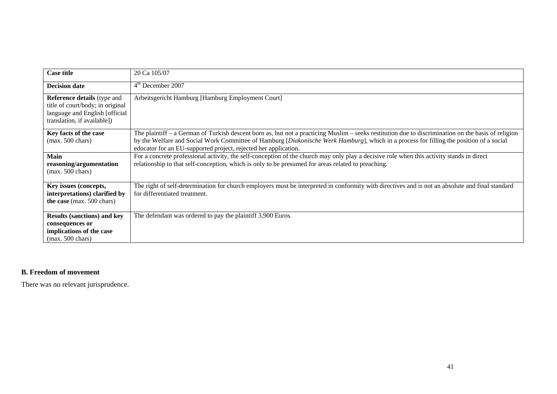| <b>Case title</b>                                                                                                                        | 20 Ca 105/07                                                                                                                                                                                                                                                                                                                                                          |
|------------------------------------------------------------------------------------------------------------------------------------------|-----------------------------------------------------------------------------------------------------------------------------------------------------------------------------------------------------------------------------------------------------------------------------------------------------------------------------------------------------------------------|
| <b>Decision date</b>                                                                                                                     | $4th$ December 2007                                                                                                                                                                                                                                                                                                                                                   |
| <b>Reference details</b> (type and<br>title of court/body; in original<br>language and English [official]<br>translation, if available]) | Arbeitsgericht Hamburg [Hamburg Employment Court]                                                                                                                                                                                                                                                                                                                     |
| Key facts of the case<br>$(max. 500 \text{ chars})$                                                                                      | The plaintiff $-$ a German of Turkish descent born as, but not a practicing Muslim $-$ seeks restitution due to discrimination on the basis of religion<br>by the Welfare and Social Work Committee of Hamburg [Diakonische Werk Hamburg], which in a process for filling the position of a social<br>educator for an EU-supported project, rejected her application. |
| <b>Main</b><br>reasoning/argumentation<br>$(max. 500 \text{ chars})$                                                                     | For a concrete professional activity, the self-conception of the church may only play a decisive role when this activity stands in direct<br>relationship to that self-conception, which is only to be presumed for areas related to preaching.                                                                                                                       |
| Key issues (concepts,<br>interpretations) clarified by<br>the case (max. 500 chars)                                                      | The right of self-determination for church employers must be interpreted in conformity with directives and is not an absolute and final standard<br>for differentiated treatment.                                                                                                                                                                                     |
| <b>Results (sanctions) and key</b><br>consequences or<br>implications of the case<br>$(max. 500 \text{ chars})$                          | The defendant was ordered to pay the plaintiff 3,900 Euros.                                                                                                                                                                                                                                                                                                           |

#### **B. Freedom of movement**

There was no relevant jurisprudence.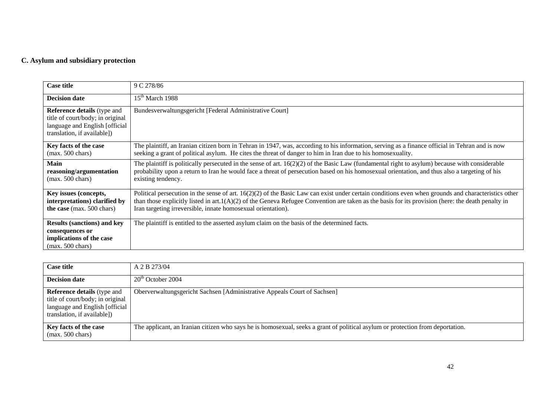### **C. Asylum and subsidiary protection**

| <b>Case title</b>                                                                                                                       | 9 C 278/86                                                                                                                                                                                                                                                                                                                                                                  |
|-----------------------------------------------------------------------------------------------------------------------------------------|-----------------------------------------------------------------------------------------------------------------------------------------------------------------------------------------------------------------------------------------------------------------------------------------------------------------------------------------------------------------------------|
| <b>Decision date</b>                                                                                                                    | $15th$ March 1988                                                                                                                                                                                                                                                                                                                                                           |
| <b>Reference details</b> (type and<br>title of court/body; in original<br>language and English [official<br>translation, if available]) | Bundesverwaltungsgericht [Federal Administrative Court]                                                                                                                                                                                                                                                                                                                     |
| Key facts of the case<br>$(max. 500 \text{ chars})$                                                                                     | The plaintiff, an Iranian citizen born in Tehran in 1947, was, according to his information, serving as a finance official in Tehran and is now<br>seeking a grant of political asylum. He cites the threat of danger to him in Iran due to his homosexuality.                                                                                                              |
| <b>Main</b><br>reasoning/argumentation<br>$(max. 500 \text{ chars})$                                                                    | The plaintiff is politically persecuted in the sense of art. $16(2)(2)$ of the Basic Law (fundamental right to asylum) because with considerable<br>probability upon a return to Iran he would face a threat of persecution based on his homosexual orientation, and thus also a targeting of his<br>existing tendency.                                                     |
| Key issues (concepts,<br>interpretations) clarified by<br>the case (max. 500 chars)                                                     | Political persecution in the sense of art. 16(2)(2) of the Basic Law can exist under certain conditions even when grounds and characteristics other<br>than those explicitly listed in art. $1(A)(2)$ of the Geneva Refugee Convention are taken as the basis for its provision (here: the death penalty in<br>Iran targeting irreversible, innate homosexual orientation). |
| <b>Results (sanctions) and key</b><br>consequences or<br>implications of the case<br>$(max. 500 \text{ chars})$                         | The plaintiff is entitled to the asserted asylum claim on the basis of the determined facts.                                                                                                                                                                                                                                                                                |

| <b>Case title</b>                                                                                                                       | A 2 B 273/04                                                                                                                   |
|-----------------------------------------------------------------------------------------------------------------------------------------|--------------------------------------------------------------------------------------------------------------------------------|
| <b>Decision date</b>                                                                                                                    | $20th$ October 2004                                                                                                            |
| <b>Reference details</b> (type and<br>title of court/body; in original<br>language and English [official<br>translation, if available]) | Oberverwaltungsgericht Sachsen [Administrative Appeals Court of Sachsen]                                                       |
| Key facts of the case<br>$(max. 500 \text{ chars})$                                                                                     | The applicant, an Iranian citizen who says he is homosexual, seeks a grant of political asylum or protection from deportation. |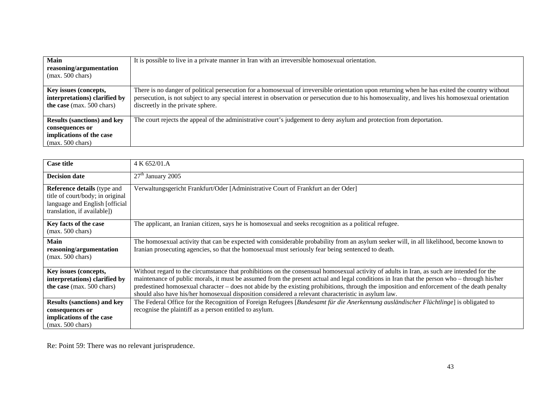| <b>Main</b><br>reasoning/argumentation<br>$(max. 500 \text{ chars})$                                            | It is possible to live in a private manner in Iran with an irreversible homosexual orientation.                                                                                                                                                                                                                                         |
|-----------------------------------------------------------------------------------------------------------------|-----------------------------------------------------------------------------------------------------------------------------------------------------------------------------------------------------------------------------------------------------------------------------------------------------------------------------------------|
| Key issues (concepts,<br>interpretations) clarified by<br>the case (max. 500 chars)                             | There is no danger of political persecution for a homosexual of irreversible orientation upon returning when he has exited the country without<br>persecution, is not subject to any special interest in observation or persecution due to his homosexuality, and lives his homosexual orientation<br>discreetly in the private sphere. |
| <b>Results (sanctions) and key</b><br>consequences or<br>implications of the case<br>$(max. 500 \text{ chars})$ | The court rejects the appeal of the administrative court's judgement to deny asylum and protection from deportation.                                                                                                                                                                                                                    |

| <b>Case title</b>                                                                                                                       | 4 K 652/01.A                                                                                                                                                                                                                                                                                                                                                                                                                                                                                                                                    |
|-----------------------------------------------------------------------------------------------------------------------------------------|-------------------------------------------------------------------------------------------------------------------------------------------------------------------------------------------------------------------------------------------------------------------------------------------------------------------------------------------------------------------------------------------------------------------------------------------------------------------------------------------------------------------------------------------------|
| <b>Decision date</b>                                                                                                                    | $27th$ January 2005                                                                                                                                                                                                                                                                                                                                                                                                                                                                                                                             |
| <b>Reference details</b> (type and<br>title of court/body; in original<br>language and English [official<br>translation, if available]) | Verwaltungsgericht Frankfurt/Oder [Administrative Court of Frankfurt an der Oder]                                                                                                                                                                                                                                                                                                                                                                                                                                                               |
| Key facts of the case<br>$(max. 500 \text{ chars})$                                                                                     | The applicant, an Iranian citizen, says he is homosexual and seeks recognition as a political refugee.                                                                                                                                                                                                                                                                                                                                                                                                                                          |
| <b>Main</b><br>reasoning/argumentation<br>$(max. 500 \text{ chars})$                                                                    | The homosexual activity that can be expected with considerable probability from an asylum seeker will, in all likelihood, become known to<br>Iranian prosecuting agencies, so that the homosexual must seriously fear being sentenced to death.                                                                                                                                                                                                                                                                                                 |
| Key issues (concepts,<br>interpretations) clarified by<br>the case (max. 500 chars)                                                     | Without regard to the circumstance that prohibitions on the consensual homosexual activity of adults in Iran, as such are intended for the<br>maintenance of public morals, it must be assumed from the present actual and legal conditions in Iran that the person who – through his/her<br>predestined homosexual character – does not abide by the existing prohibitions, through the imposition and enforcement of the death penalty<br>should also have his/her homosexual disposition considered a relevant characteristic in asylum law. |
| <b>Results (sanctions) and key</b><br>consequences or<br>implications of the case<br>$(max. 500 \text{ chars})$                         | The Federal Office for the Recognition of Foreign Refugees [Bundesamt für die Anerkennung ausländischer Flüchtlinge] is obligated to<br>recognise the plaintiff as a person entitled to asylum.                                                                                                                                                                                                                                                                                                                                                 |

Re: Point 59: There was no relevant jurisprudence.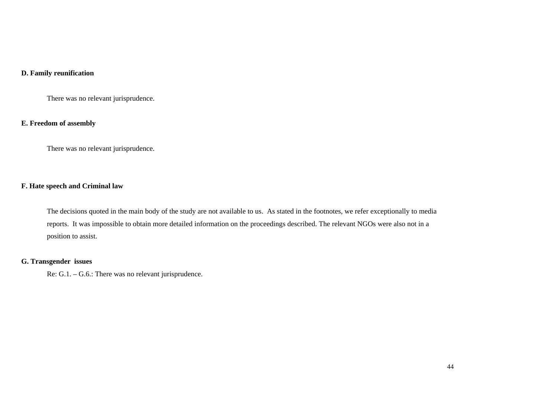#### **D. Family reunification**

There was no relevant jurisprudence.

#### **E. Freedom of assembly**

There was no relevant jurisprudence.

#### **F. Hate speech and Criminal law**

The decisions quoted in the main body of the study are not available to us. As stated in the footnotes, we refer exceptionally to media reports. It was impossible to obtain more detailed information on the proceedings described. The relevant NGOs were also not in a position to assist.

#### **G. Transgender issues**

Re: G.1. – G.6.: There was no relevant jurisprudence.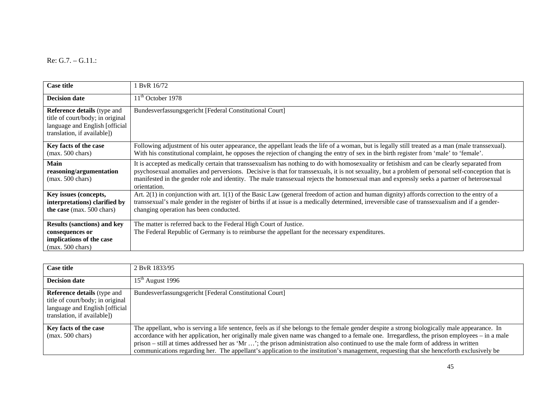Re: G.7. – G.11.:

| <b>Case title</b>                                                                                                                       | ByR 16/72                                                                                                                                                                                                                                                                                                                                                                                                                                                     |
|-----------------------------------------------------------------------------------------------------------------------------------------|---------------------------------------------------------------------------------------------------------------------------------------------------------------------------------------------------------------------------------------------------------------------------------------------------------------------------------------------------------------------------------------------------------------------------------------------------------------|
| <b>Decision date</b>                                                                                                                    | $11th$ October 1978                                                                                                                                                                                                                                                                                                                                                                                                                                           |
| <b>Reference details</b> (type and<br>title of court/body; in original<br>language and English [official<br>translation, if available]) | Bundesverfassungsgericht [Federal Constitutional Court]                                                                                                                                                                                                                                                                                                                                                                                                       |
| Key facts of the case<br>$(max. 500 \text{ chars})$                                                                                     | Following adjustment of his outer appearance, the appellant leads the life of a woman, but is legally still treated as a man (male transsexual).<br>With his constitutional complaint, he opposes the rejection of changing the entry of sex in the birth register from 'male' to 'female'.                                                                                                                                                                   |
| Main<br>reasoning/argumentation<br>$(max. 500 \text{ chars})$                                                                           | It is accepted as medically certain that transsexualism has nothing to do with homosexuality or fetishism and can be clearly separated from<br>psychosexual anomalies and perversions. Decisive is that for transsexuals, it is not sexuality, but a problem of personal self-conception that is<br>manifested in the gender role and identity. The male transsexual rejects the homosexual man and expressly seeks a partner of heterosexual<br>orientation. |
| Key issues (concepts,<br>interpretations) clarified by<br>the case (max. 500 chars)                                                     | Art. $2(1)$ in conjunction with art. $1(1)$ of the Basic Law (general freedom of action and human dignity) affords correction to the entry of a<br>transsexual's male gender in the register of births if at issue is a medically determined, irreversible case of transsexualism and if a gender-<br>changing operation has been conducted.                                                                                                                  |
| <b>Results (sanctions) and key</b><br>consequences or<br>implications of the case<br>$(max. 500 \text{ chars})$                         | The matter is referred back to the Federal High Court of Justice.<br>The Federal Republic of Germany is to reimburse the appellant for the necessary expenditures.                                                                                                                                                                                                                                                                                            |

| <b>Case title</b>                                                                                                                        | 2 ByR 1833/95                                                                                                                                                                                                                                                                                                                                                                                                                                                                                                                                                                   |
|------------------------------------------------------------------------------------------------------------------------------------------|---------------------------------------------------------------------------------------------------------------------------------------------------------------------------------------------------------------------------------------------------------------------------------------------------------------------------------------------------------------------------------------------------------------------------------------------------------------------------------------------------------------------------------------------------------------------------------|
| <b>Decision date</b>                                                                                                                     | $15th$ August 1996                                                                                                                                                                                                                                                                                                                                                                                                                                                                                                                                                              |
| <b>Reference details</b> (type and<br>title of court/body; in original<br>language and English [official]<br>translation, if available]) | Bundesverfassungsgericht [Federal Constitutional Court]                                                                                                                                                                                                                                                                                                                                                                                                                                                                                                                         |
| Key facts of the case<br>$(max. 500 \text{ chars})$                                                                                      | The appellant, who is serving a life sentence, feels as if she belongs to the female gender despite a strong biologically male appearance. In<br>accordance with her application, her originally male given name was changed to a female one. Irregardless, the prison employees – in a male<br>prison – still at times addressed her as 'Mr '; the prison administration also continued to use the male form of address in written<br>communications regarding her. The appellant's application to the institution's management, requesting that she henceforth exclusively be |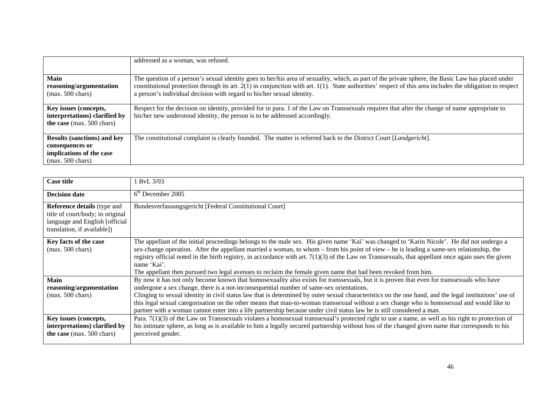|                                                                                                                 | addressed as a woman, was refused.                                                                                                                                                                                                                                                                                                                                                             |
|-----------------------------------------------------------------------------------------------------------------|------------------------------------------------------------------------------------------------------------------------------------------------------------------------------------------------------------------------------------------------------------------------------------------------------------------------------------------------------------------------------------------------|
| <b>Main</b><br>reasoning/argumentation<br>$(max. 500 \text{ chars})$                                            | The question of a person's sexual identity goes to her/his area of sexuality, which, as part of the private sphere, the Basic Law has placed under<br>constitutional protection through its art. $2(1)$ in conjunction with art. $1(1)$ . State authorities' respect of this area includes the obligation to respect<br>a person's individual decision with regard to his/her sexual identity. |
| Key issues (concepts,<br>interpretations) clarified by<br>the case (max. 500 chars)                             | Respect for the decision on identity, provided for in para. 1 of the Law on Transsexuals requires that after the change of name appropriate to<br>his/her new understood identity, the person is to be addressed accordingly.                                                                                                                                                                  |
| <b>Results (sanctions) and key</b><br>consequences or<br>implications of the case<br>$(max. 500 \text{ chars})$ | The constitutional complaint is clearly founded. The matter is referred back to the District Court [Landgericht].                                                                                                                                                                                                                                                                              |

| <b>Case title</b>                                                                                                                       | <b>BvL</b> 3/03                                                                                                                                                                                                                                                                                                                                                                                                                                                                                                                                                                 |
|-----------------------------------------------------------------------------------------------------------------------------------------|---------------------------------------------------------------------------------------------------------------------------------------------------------------------------------------------------------------------------------------------------------------------------------------------------------------------------------------------------------------------------------------------------------------------------------------------------------------------------------------------------------------------------------------------------------------------------------|
| <b>Decision date</b>                                                                                                                    | $6th$ December 2005                                                                                                                                                                                                                                                                                                                                                                                                                                                                                                                                                             |
| <b>Reference details</b> (type and<br>title of court/body; in original<br>language and English [official<br>translation, if available]) | Bundesverfassungsgericht [Federal Constitutional Court]                                                                                                                                                                                                                                                                                                                                                                                                                                                                                                                         |
| Key facts of the case<br>$(max. 500 \text{ chars})$                                                                                     | The appellant of the initial proceedings belongs to the male sex. His given name 'Kai' was changed to 'Karin Nicole'. He did not undergo a<br>sex-change operation. After the appellant married a woman, to whom – from his point of view – he is leading a same-sex relationship, the<br>registry official noted in the birth registry, in accordance with art. $7(1)(3)$ of the Law on Transsexuals, that appellant once again uses the given<br>name 'Kai'.<br>The appellant then pursued two legal avenues to reclaim the female given name that had been revoked from him. |
| <b>Main</b>                                                                                                                             | By now it has not only become known that homosexuality also exists for transsexuals, but it is proven that even for transsexuals who have                                                                                                                                                                                                                                                                                                                                                                                                                                       |
| reasoning/argumentation<br>$(max. 500 \text{ chars})$                                                                                   | undergone a sex change, there is a not-inconsequential number of same-sex orientations.<br>Clinging to sexual identity in civil status law that is determined by outer sexual characteristics on the one hand, and the legal institutions' use of                                                                                                                                                                                                                                                                                                                               |
|                                                                                                                                         | this legal sexual categorisation on the other means that man-to-woman transsexual without a sex change who is homosexual and would like to<br>partner with a woman cannot enter into a life partnership because under civil status law he is still considered a man.                                                                                                                                                                                                                                                                                                            |
| Key issues (concepts,<br>interpretations) clarified by<br>the case (max. 500 chars)                                                     | Para. $7(1)(3)$ of the Law on Transsexuals violates a homosexual transsexual's protected right to use a name, as well as his right to protection of<br>his intimate sphere, as long as is available to him a legally secured partnership without loss of the changed given name that corresponds to his<br>perceived gender.                                                                                                                                                                                                                                                    |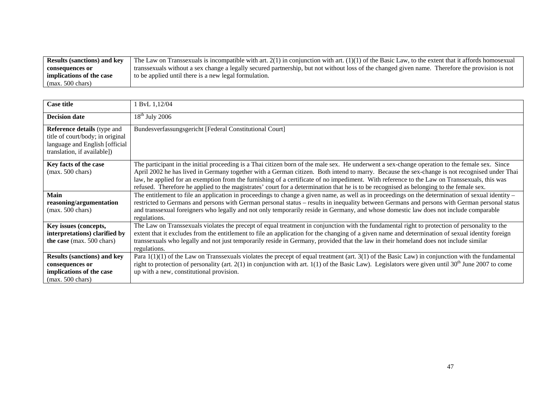| <b>Results (sanctions) and key</b> | The Law on Transsexuals is incompatible with art. $2(1)$ in conjunction with art. $(1)(1)$ of the Basic Law, to the extent that it affords homosexual |
|------------------------------------|-------------------------------------------------------------------------------------------------------------------------------------------------------|
| consequences or                    | transsexuals without a sex change a legally secured partnership, but not without loss of the changed given name. Therefore the provision is not       |
| implications of the case           | to be applied until there is a new legal formulation.                                                                                                 |
| $(max. 500 \text{ chars})$         |                                                                                                                                                       |

| <b>Case title</b>                                                                                                                       | 1 ByL 1,12/04                                                                                                                                                                                                                                                                                                                                                                                                                                                                                                                                                                            |
|-----------------------------------------------------------------------------------------------------------------------------------------|------------------------------------------------------------------------------------------------------------------------------------------------------------------------------------------------------------------------------------------------------------------------------------------------------------------------------------------------------------------------------------------------------------------------------------------------------------------------------------------------------------------------------------------------------------------------------------------|
| <b>Decision date</b>                                                                                                                    | $18th$ July 2006                                                                                                                                                                                                                                                                                                                                                                                                                                                                                                                                                                         |
| <b>Reference details</b> (type and<br>title of court/body; in original<br>language and English [official<br>translation, if available]) | Bundesverfassungsgericht [Federal Constitutional Court]                                                                                                                                                                                                                                                                                                                                                                                                                                                                                                                                  |
| Key facts of the case<br>$(max. 500 \text{ chars})$                                                                                     | The participant in the initial proceeding is a Thai citizen born of the male sex. He underwent a sex-change operation to the female sex. Since<br>April 2002 he has lived in Germany together with a German citizen. Both intend to marry. Because the sex-change is not recognised under Thai<br>law, he applied for an exemption from the furnishing of a certificate of no impediment. With reference to the Law on Transsexuals, this was<br>refused. Therefore he applied to the magistrates' court for a determination that he is to be recognised as belonging to the female sex. |
| <b>Main</b><br>reasoning/argumentation<br>$(max. 500 \text{ chars})$                                                                    | The entitlement to file an application in proceedings to change a given name, as well as in proceedings on the determination of sexual identity –<br>restricted to Germans and persons with German personal status – results in inequality between Germans and persons with German personal status<br>and transsexual foreigners who legally and not only temporarily reside in Germany, and whose domestic law does not include comparable<br>regulations.                                                                                                                              |
| Key issues (concepts,<br>interpretations) clarified by<br>the case (max. 500 chars)                                                     | The Law on Transsexuals violates the precept of equal treatment in conjunction with the fundamental right to protection of personality to the<br>extent that it excludes from the entitlement to file an application for the changing of a given name and determination of sexual identity foreign<br>transsexuals who legally and not just temporarily reside in Germany, provided that the law in their homeland does not include similar<br>regulations.                                                                                                                              |
| <b>Results (sanctions) and key</b><br>consequences or<br>implications of the case<br>$(max. 500 \text{ chars})$                         | Para $1(1)(1)$ of the Law on Transsexuals violates the precept of equal treatment (art. 3(1) of the Basic Law) in conjunction with the fundamental<br>right to protection of personality (art. 2(1) in conjunction with art. 1(1) of the Basic Law). Legislators were given until $30th$ June 2007 to come<br>up with a new, constitutional provision.                                                                                                                                                                                                                                   |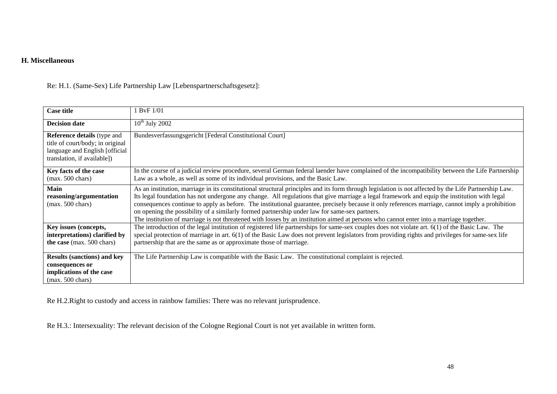#### **H. Miscellaneous**

| Re: H.1. (Same-Sex) Life Partnership Law [Lebenspartnerschaftsgesetz]: |  |
|------------------------------------------------------------------------|--|
|------------------------------------------------------------------------|--|

| <b>Case title</b>                                                                                                                       | 1 BvF 1/01                                                                                                                                                                                                                                                                                                                                                                                                                                                                                                                                                                                                                                                                                            |
|-----------------------------------------------------------------------------------------------------------------------------------------|-------------------------------------------------------------------------------------------------------------------------------------------------------------------------------------------------------------------------------------------------------------------------------------------------------------------------------------------------------------------------------------------------------------------------------------------------------------------------------------------------------------------------------------------------------------------------------------------------------------------------------------------------------------------------------------------------------|
| <b>Decision date</b>                                                                                                                    | $10^{th}$ July 2002                                                                                                                                                                                                                                                                                                                                                                                                                                                                                                                                                                                                                                                                                   |
| <b>Reference details</b> (type and<br>title of court/body; in original<br>language and English [official<br>translation, if available]) | Bundesverfassungsgericht [Federal Constitutional Court]                                                                                                                                                                                                                                                                                                                                                                                                                                                                                                                                                                                                                                               |
| Key facts of the case<br>$(max. 500 \text{ chars})$                                                                                     | In the course of a judicial review procedure, several German federal laender have complained of the incompatibility between the Life Partnership<br>Law as a whole, as well as some of its individual provisions, and the Basic Law.                                                                                                                                                                                                                                                                                                                                                                                                                                                                  |
| <b>Main</b><br>reasoning/argumentation<br>$(max. 500 \text{ chars})$                                                                    | As an institution, marriage in its constitutional structural principles and its form through legislation is not affected by the Life Partnership Law.<br>Its legal foundation has not undergone any change. All regulations that give marriage a legal framework and equip the institution with legal<br>consequences continue to apply as before. The institutional guarantee, precisely because it only references marriage, cannot imply a prohibition<br>on opening the possibility of a similarly formed partnership under law for same-sex partners.<br>The institution of marriage is not threatened with losses by an institution aimed at persons who cannot enter into a marriage together. |
| Key issues (concepts,<br>interpretations) clarified by<br>the case (max. 500 chars)                                                     | The introduction of the legal institution of registered life partnerships for same-sex couples does not violate art. 6(1) of the Basic Law. The<br>special protection of marriage in art. 6(1) of the Basic Law does not prevent legislators from providing rights and privileges for same-sex life<br>partnership that are the same as or approximate those of marriage.                                                                                                                                                                                                                                                                                                                             |
| <b>Results (sanctions) and key</b><br>consequences or<br>implications of the case<br>$(max. 500 \text{ chars})$                         | The Life Partnership Law is compatible with the Basic Law. The constitutional complaint is rejected.                                                                                                                                                                                                                                                                                                                                                                                                                                                                                                                                                                                                  |

Re H.2.Right to custody and access in rainbow families: There was no relevant jurisprudence.

Re H.3.: Intersexuality: The relevant decision of the Cologne Regional Court is not yet available in written form.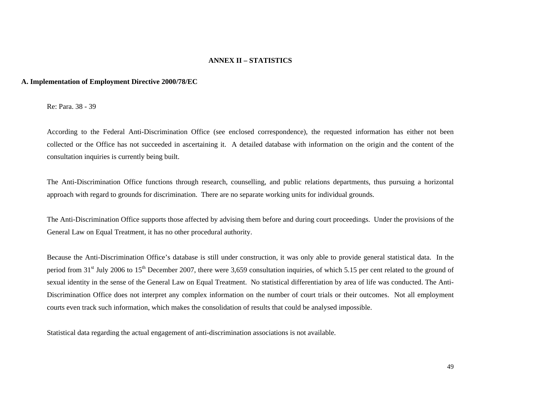#### **ANNEX II – STATISTICS**

#### **A. Implementation of Employment Directive 2000/78/EC**

Re: Para. 38 - 39

According to the Federal Anti-Discrimination Office (see enclosed correspondence), the requested information has either not been collected or the Office has not succeeded in ascertaining it. A detailed database with information on the origin and the content of the consultation inquiries is currently being built.

The Anti-Discrimination Office functions through research, counselling, and public relations departments, thus pursuing a horizontal approach with regard to grounds for discrimination. There are no separate working units for individual grounds.

The Anti-Discrimination Office supports those affected by advising them before and during court proceedings. Under the provisions of the General Law on Equal Treatment, it has no other procedural authority.

Because the Anti-Discrimination Office's database is still under construction, it was only able to provide general statistical data. In the period from 31<sup>st</sup> July 2006 to 15<sup>th</sup> December 2007, there were 3,659 consultation inquiries, of which 5.15 per cent related to the ground of sexual identity in the sense of the General Law on Equal Treatment. No statistical differentiation by area of life was conducted. The Anti-Discrimination Office does not interpret any complex information on the number of court trials or their outcomes. Not all employment courts even track such information, which makes the consolidation of results that could be analysed impossible.

Statistical data regarding the actual engagement of anti-discrimination associations is not available.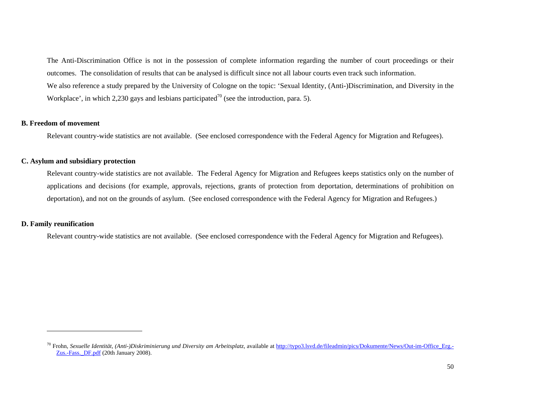The Anti-Discrimination Office is not in the possession of complete information regarding the number of court proceedings or their outcomes. The consolidation of results that can be analysed is difficult since not all labour courts even track such information. We also reference a study prepared by the University of Cologne on the topic: 'Sexual Identity, (Anti-)Discrimination, and Diversity in the Workplace', in which 2,230 gays and lesbians participated<sup>70</sup> (see the introduction, para. 5).

#### **B. Freedom of movement**

Relevant country-wide statistics are not available. (See enclosed correspondence with the Federal Agency for Migration and Refugees).

#### **C. Asylum and subsidiary protection**

Relevant country-wide statistics are not available. The Federal Agency for Migration and Refugees keeps statistics only on the number of applications and decisions (for example, approvals, rejections, grants of protection from deportation, determinations of prohibition on deportation), and not on the grounds of asylum. (See enclosed correspondence with the Federal Agency for Migration and Refugees.)

#### **D. Family reunification**

Relevant country-wide statistics are not available. (See enclosed correspondence with the Federal Agency for Migration and Refugees).

<sup>&</sup>lt;sup>70</sup> Frohn, *Sexuelle Identität, (Anti-)Diskriminierung und Diversity am Arbeitsplatz, available at http://typo3.lsvd.de/fileadmin/pics/Dokumente/News/Out-im-Office\_Erg.-*Zus.-Fass.\_DF.pdf (20th January 2008).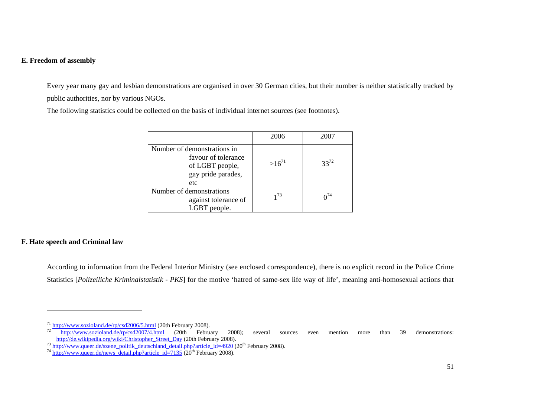#### **E. Freedom of assembly**

Every year many gay and lesbian demonstrations are organised in over 30 German cities, but their number is neither statistically tracked by public authorities, nor by various NGOs.

The following statistics could be collected on the basis of individual internet sources (see footnotes).

|                                                                                                    | 2006       | 2007        |
|----------------------------------------------------------------------------------------------------|------------|-------------|
| Number of demonstrations in<br>favour of tolerance<br>of LGBT people,<br>gay pride parades,<br>etc | $>16^{71}$ | $33^{72}$   |
| Number of demonstrations<br>against tolerance of<br>LGBT people.                                   | $1^{73}$   | $\sqrt{14}$ |

#### **F. Hate speech and Criminal law**

According to information from the Federal Interior Ministry (see enclosed correspondence), there is no explicit record in the Police Crime Statistics [*Polizeiliche Kriminalstatistik - PKS*] for the motive 'hatred of same-sex life way of life', meaning anti-homosexual actions that

 $^{71}$  http://www.sozioland.de/rp/csd2006/5.html (20th February 2008).

 $72^{\frac{1}{2}}$ http://www.sozioland.de/rp/csd2007/4.html (20th February 2008); several sources even mention more than 39 demonstrations: http://de.wikipedia.org/wiki/Christopher\_Street\_Day (20th February 2008).

<sup>&</sup>lt;sup>73</sup> http://www.queer.de/szene\_politik\_deutschland\_detail.php?article\_id=4920 (20<sup>th</sup> February 2008).<br><sup>74</sup> http://www.queer.de/news\_detail.php?article\_id=7135 (20<sup>th</sup> February 2008).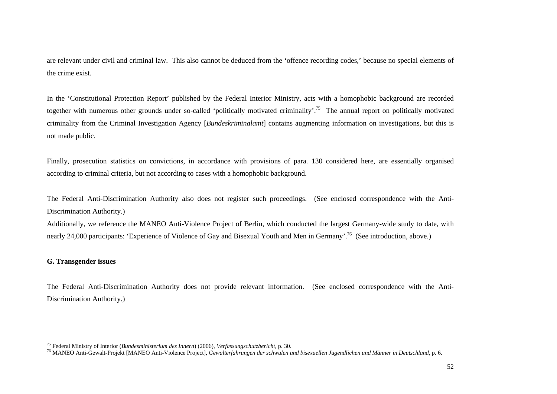are relevant under civil and criminal law. This also cannot be deduced from the 'offence recording codes,' because no special elements of the crime exist.

In the 'Constitutional Protection Report' published by the Federal Interior Ministry, acts with a homophobic background are recorded together with numerous other grounds under so-called 'politically motivated criminality'.<sup>75</sup> The annual report on politically motivated criminality from the Criminal Investigation Agency [*Bundeskriminalamt*] contains augmenting information on investigations, but this is not made public.

Finally, prosecution statistics on convictions, in accordance with provisions of para. 130 considered here, are essentially organised according to criminal criteria, but not according to cases with a homophobic background.

The Federal Anti-Discrimination Authority also does not register such proceedings. (See enclosed correspondence with the Anti-Discrimination Authority.)

Additionally, we reference the MANEO Anti-Violence Project of Berlin, which conducted the largest Germany-wide study to date, with nearly 24,000 participants: 'Experience of Violence of Gay and Bisexual Youth and Men in Germany'.<sup>76</sup> (See introduction, above.)

#### **G. Transgender issues**

The Federal Anti-Discrimination Authority does not provide relevant information. (See enclosed correspondence with the Anti-Discrimination Authority.)

<sup>75</sup> Federal Ministry of Interior (*Bundesministerium des Innern*) (2006), *Verfassungschutzbericht*, p. 30.

<sup>76</sup> MANEO Anti-Gewalt-Projekt [MANEO Anti-Violence Project], *Gewalterfahrungen der schwulen und bisexuellen Jugendlichen und Männer in Deutschland*, p. 6.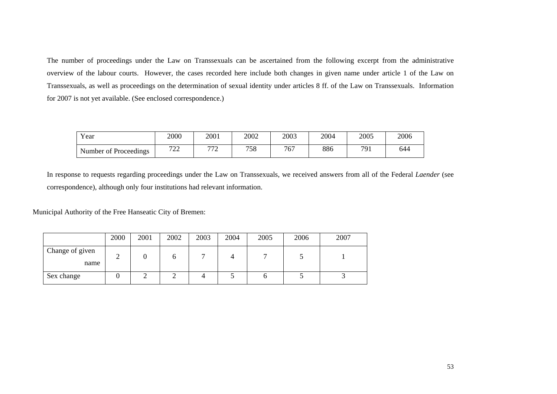The number of proceedings under the Law on Transsexuals can be ascertained from the following excerpt from the administrative overview of the labour courts. However, the cases recorded here include both changes in given name under article 1 of the Law on Transsexuals, as well as proceedings on the determination of sexual identity under articles 8 ff. of the Law on Transsexuals. Information for 2007 is not yet available. (See enclosed correspondence.)

| Year                  | 2000                 | 2001                | 2002 | 2003 | 2004 | 2005 | 2006 |
|-----------------------|----------------------|---------------------|------|------|------|------|------|
| Number of Proceedings | $\overline{a}$<br>44 | $\overline{a}$<br>∼ | 758  | 767  | 886  | 791  | 644  |

In response to requests regarding proceedings under the Law on Transsexuals, we received answers from all of the Federal *Laender* (see correspondence), although only four institutions had relevant information.

Municipal Authority of the Free Hanseatic City of Bremen:

|                         | 2000 | 2001 | 2002 | 2003 | 2004 | 2005 | 2006 | 2007 |
|-------------------------|------|------|------|------|------|------|------|------|
| Change of given<br>name | ∸    |      | O    |      |      |      |      |      |
| Sex change              |      |      |      |      |      |      |      |      |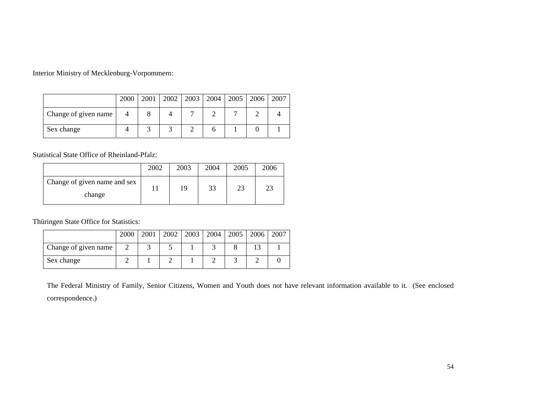Interior Ministry of Mecklenburg-Vorpommern:

|                      | 2000 |  |  | 2001   2002   2003   2004   2005   2006   2007 |  |
|----------------------|------|--|--|------------------------------------------------|--|
| Change of given name |      |  |  |                                                |  |
| Sex change           |      |  |  |                                                |  |

Statistical State Office of Rheinland-Pfalz:

|                                        | 2002 | 2003 | 2004 | 2005 | 2006 |
|----------------------------------------|------|------|------|------|------|
| Change of given name and sex<br>change |      | 19   | 33   | 23   | າາ   |

Thüringen State Office for Statistics:

|                      | 2000 | 2001 |  | 2002   2003   2004   2005 | 2006 | 2007 |
|----------------------|------|------|--|---------------------------|------|------|
| Change of given name |      |      |  |                           |      |      |
| Sex change           |      |      |  |                           |      |      |

The Federal Ministry of Family, Senior Citizens, Women and Youth does not have relevant information available to it. (See enclosed correspondence.)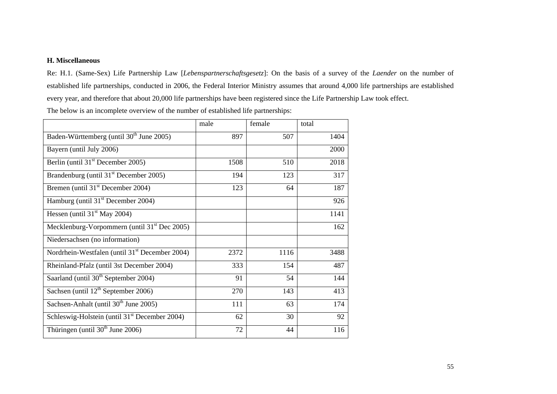#### **H. Miscellaneous**

Re: H.1. (Same-Sex) Life Partnership Law [*Lebenspartnerschaftsgesetz*]: On the basis of a survey of the *Laender* on the number of established life partnerships, conducted in 2006, the Federal Interior Ministry assumes that around 4,000 life partnerships are established every year, and therefore that about 20,000 life partnerships have been registered since the Life Partnership Law took effect.

The below is an incomplete overview of the number of established life partnerships:

|                                                            | male | female | total |
|------------------------------------------------------------|------|--------|-------|
| Baden-Württemberg (until 30 <sup>th</sup> June 2005)       | 897  | 507    | 1404  |
| Bayern (until July 2006)                                   |      |        | 2000  |
| Berlin (until 31 <sup>st</sup> December 2005)              | 1508 | 510    | 2018  |
| Brandenburg (until 31 <sup>st</sup> December 2005)         | 194  | 123    | 317   |
| Bremen (until $31st$ December 2004)                        | 123  | 64     | 187   |
| Hamburg (until 31 <sup>st</sup> December 2004)             |      |        | 926   |
| Hessen (until $31st$ May 2004)                             |      |        | 1141  |
| Mecklenburg-Vorpommern (until 31 <sup>st</sup> Dec 2005)   |      |        | 162   |
| Niedersachsen (no information)                             |      |        |       |
| Nordrhein-Westfalen (until 31 <sup>st</sup> December 2004) | 2372 | 1116   | 3488  |
| Rheinland-Pfalz (until 3st December 2004)                  | 333  | 154    | 487   |
| Saarland (until 30 <sup>th</sup> September 2004)           | 91   | 54     | 144   |
| Sachsen (until $12th$ September 2006)                      | 270  | 143    | 413   |
| Sachsen-Anhalt (until 30 <sup>th</sup> June 2005)          | 111  | 63     | 174   |
| Schleswig-Holstein (until 31 <sup>st</sup> December 2004)  | 62   | 30     | 92    |
| Thüringen (until 30 <sup>th</sup> June 2006)               | 72   | 44     | 116   |